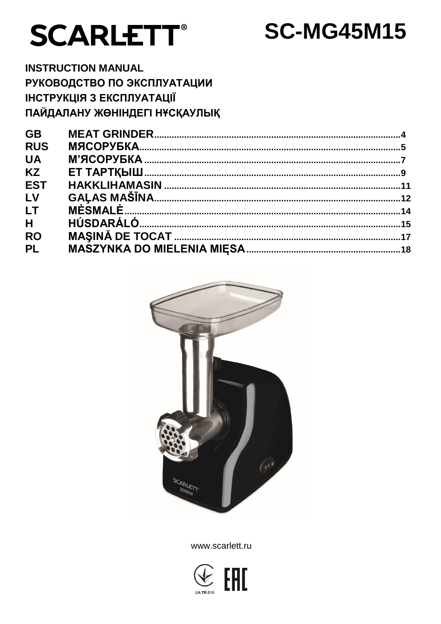# **SCARLETT®**

**SC-MG45M15** 

**INSTRUCTION MANUAL** РУКОВОДСТВО ПО ЭКСПЛУАТАЦИИ **ІНСТРУКЦІЯ З ЕКСПЛУАТАЦІЇ** ПАЙДАЛАНУ ЖӨНІНДЕГІ НҰСҚАУЛЫҚ

| <b>GB</b>  |  |
|------------|--|
| <b>RUS</b> |  |
| <b>UA</b>  |  |
| <b>KZ</b>  |  |
| <b>EST</b> |  |
| LV         |  |
| <b>LT</b>  |  |
| H          |  |
| <b>RO</b>  |  |
| <b>PL</b>  |  |
|            |  |



www.scarlett.ru

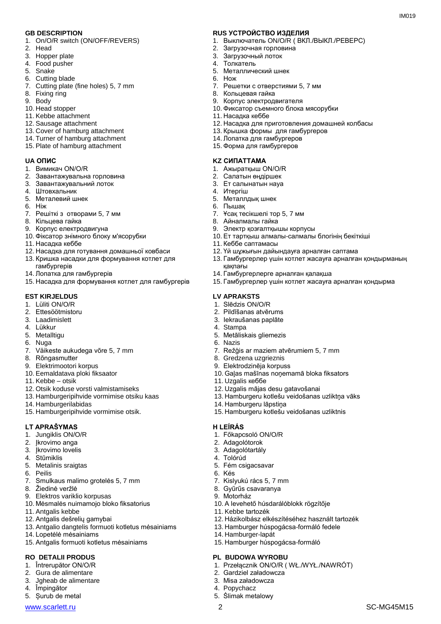- 1. On/O/R switch (ON/OFF/REVERS)
- 2. Head
- 3. Hopper plate
- 4. Food pusher
- 5. Snake
- 6. Cutting blade
- 7. Cutting plate (fine holes) 5, 7 mm
- 8. Fixing ring
- 9. Body
- 10. Head stopper
- 11. Kebbe attachment
- 12. Sausage attachment
- 13. Cover of hamburg attachment
- 14. Turner of hamburg attachment
- 15. Plate of hamburg attachment

- 1. Вимикач ON/O/R
- 2. Завантажувальна горловина
- 3. Завантажувальний лоток
- 4. Штовхальник
- 5. Металевий шнек
- 6. Ніж
- 7. Решіткi з отворами 5, 7 мм
- 8. Кільцева гайка
- 9. Корпус електродвигуна
- 10. Фіксатор знімного блоку м'ясорубки
- 11. Насадка кеббе
- 12. Насадка для готування домашньої ковбаси
- 13. Кришка насадки для формування котлет для гамбургерів
- 14. Лопатка для гамбургерів
- 15. Насадка для формування котлет для гамбургерів

# **EST KIRJELDUS LV APRAKSTS**

- 1. Lüliti ON/O/R
- 2. Ettesöötmistoru
- 3. Laadimislett
- 4. Lükkur
- 5. Metalltigu
- 6. Nuga
- 7. Väikeste aukudega võre 5, 7 mm
- 8. Rõngasmutter
- 9. Elektrimootori korpus
- 10. Eemaldatava ploki fiksaator
- 11. Kebbe otsik
- 12. Otsik koduse vorsti valmistamiseks
- 13. Hamburgeripihvide vormimise otsiku kaas
- 14. Hamburgerilabidas
- 15. Hamburgeripihvide vormimise otsik.

#### **LT APRAŠYMAS H LEÍRÁS**

- 1. Jungiklis ON/O/R
- 2. Įkrovimo anga
- 3. Įkrovimo lovelis
- 4. Stūmiklis
- 5. Metalinis sraigtas
- 6. Peilis
- 7. Smulkaus malimo grotelės 5, 7 mm
- 8. Žiedinė veržlė
- 9. Elektros variklio korpusas
- 10. Mėsmalės nuimamojo bloko fiksatorius
- 11. Antgalis kebbe
- 12. Antgalis dešrelių gamybai
- 13. Antgalio dangtelis formuoti kotletus mėsainiams
- 14. Lopetėlė mėsainiams
- 15. Antgalis formuoti kotletus mėsainiams

#### **RO DETALII PRODUS PL BUDOWA WYROBU**

- 1. Întrerupător ON/O/R
- 2. Gura de alimentare
- 3. Jgheab de alimentare
- 4. Împingător
- 5. Șurub de metal

www.scarlett.ru 2 SC-MG45M15

# **GB DESCRIPTION RUS УСТРОЙСТВО ИЗДЕЛИЯ**

1. Выключатель ON/O/R ( ВКЛ./ВЫКЛ./РЕВЕРС)

 $IMA01Q$ 

- 2. Загрузочная горловина
- 3. Загрузочный лоток
- 4. Толкатель
- 5. Металлический шнек
- 6. Нож
- 7. Решетки с отверстиями 5, 7 мм
- 8. Кольцевая гайка
- 9. Корпус электродвигателя
- 10. Фиксатор съемного блока мясорубки
- 11. Насадка кеббе
- 12. Насадка для приготовления домашней колбасы
- 13. Крышка формы для гамбургеров
- 14. Лопатка для гамбургеров
- 15. Форма для гамбургеров

#### **UA ОПИС KZ СИПАТТАМА**

- 1. Ажыратқыш ON/O/R
- 2. Салатын өңдіршек
- 3. Ет салынатын науа
- 4. Итергіш
- 5. Металлдық шнек
- 6. Пышақ
- 7. Ұсақ тесікшелі тор 5, 7 мм
- 8. Айналмалы гайка
- 9. Электр қозғалтқышы корпусы

14. Гамбургерлерге арналған қалақша

7. Režģis ar maziem atvērumiem 5, 7 mm

12. Uzgalis mājas desu gatavošanai

10. Gaļas mašīnas noņemamā bloka fiksators

15. Hamburgeru kotlešu veidošanas uzliktnis

13. Hamburgeru kotlešu veidošanas uzliktņa vāks

10. Ет тартқыш алмалы-салмалы блогінің бекіткіші

13. Гамбургерлер үшін котлет жасауға арналған қондырманың

15. Гамбургерлер үшін котлет жасауға арналған қондырма

11. Кеббе саптамасы

1. Slēdzis ON/O/R 2. Pildīšanas atvērums 3. Iekraušanas paplāte

5. Metāliskais gliemezis

8. Gredzena uzgrieznis 9. Elektrodzinēja korpuss

14. Hamburgeru lāpstiņa

1. Főkapcsoló ON/O/R 2. Adagolótorok 3. Adagolótartály 4. Tolórúd

5. Fém csigacsavar

11. Kebbe tartozék

14. Hamburger-lapát

2. Gardziel załadowcza 3. Misa załadowcza 4. Popychacz 5. Ślimak metalowy

7. Kislyukú rács 5, 7 mm 8. Gyűrűs csavaranya

10. A levehető húsdarálóblokk rögzítője

15. Hamburger húspogácsa-formáló

12. Házikolbász elkészítéséhez használt tartozék 13. Hamburger húspogácsa-formáló fedele

1. Przełącznik ON/O/R ( WŁ./WYŁ./NAWRÓT)

6. Kés

9. Motorház

11. Uzgalis кеббе

4. Stampa

6. Nazis

қақпағы

12. Үй шұжығын дайындауға арналған саптама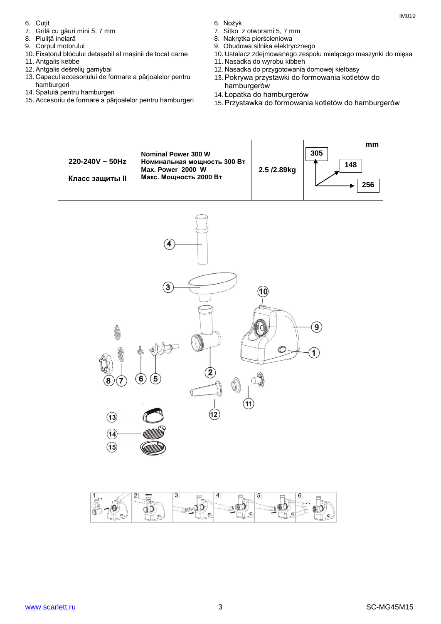- 6. Cuțit
- 7. Grilă cu găuri mini 5, 7 mm
- 8. Piuliță inelară
- 9. Corpul motorului
- 10. Fixatorul blocului detașabil al mașinii de tocat carne
- 11. Antgalis kebbe
- 12. Antgalis dešrelių gamybai
- 13. Capacul accesoriului de formare a pârjoalelor pentru hamburgeri
- 14. Spatulă pentru hamburgeri
- 15. Accesoriu de formare a pârjoalelor pentru hamburgeri
- 6. Nożyk
- 7. Sitko z otworami 5, 7 mm
- 8. Nakrętka pierścieniowa
- 9. Obudowa silnika elektrycznego
- 10. Ustalacz zdejmowanego zespołu mielącego maszynki do mięsa

IM019

- 11. Nasadka do wyrobu kibbeh
- 12. Nasadka do przygotowania domowej kiełbasy
- 13.Pokrywa przystawki do formowania kotletów do hamburgerów
- 14. Łopatka do hamburgerów
- 15.Przystawka do formowania kotletów do hamburgerów





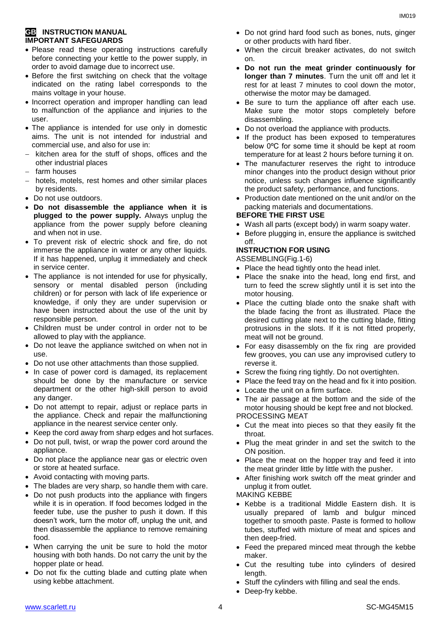# **GB INSTRUCTION MANUAL IMPORTANT SAFEGUARDS**

- Please read these operating instructions carefully before connecting your kettle to the power supply, in order to avoid damage due to incorrect use.
- Before the first switching on check that the voltage indicated on the rating label corresponds to the mains voltage in your house.
- Incorrect operation and improper handling can lead to malfunction of the appliance and injuries to the user.
- The appliance is intended for use only in domestic aims. The unit is not intended for industrial and commercial use, and also for use in:
- kitchen area for the stuff of shops, offices and the other industrial places
- farm houses
- hotels, motels, rest homes and other similar places by residents.
- Do not use outdoors.
- **Do not disassemble the appliance when it is plugged to the power supply.** Always unplug the appliance from the power supply before cleaning and when not in use.
- To prevent risk of electric shock and fire, do not immerse the appliance in water or any other liquids. If it has happened, unplug it immediately and check in service center.
- The appliance is not intended for use for physically, [sensory or mental disabled](https://www.multitran.ru/c/m.exe?t=5841801_1_2&s1=%F7%E5%EB%EE%E2%E5%EA%20%F1%20%EE%E3%F0%E0%ED%E8%F7%E5%ED%ED%FB%EC%E8%20%E2%EE%E7%EC%EE%E6%ED%EE%F1%F2%FF%EC%E8) person (including children) or for person with lack of life experience or knowledge, if only they are under supervision or have been instructed about the use of the unit by responsible person.
- Children must be under control in order not to be allowed to play with the appliance.
- Do not leave the appliance switched on when not in use.
- Do not use other attachments than those supplied.
- In case of power cord is damaged, its replacement should be done by the manufacture or service department or the other high-skill person to avoid any danger.
- Do not attempt to repair, adjust or replace parts in the appliance. Check and repair the malfunctioning appliance in the nearest service center only.
- Keep the cord away from sharp edges and hot surfaces.
- Do not pull, twist, or wrap the power cord around the appliance.
- Do not place the appliance near gas or electric oven or store at heated surface.
- Avoid contacting with moving parts.
- The blades are very sharp, so handle them with care.
- Do not push products into the appliance with fingers while it is in operation. If food becomes lodged in the feeder tube, use the pusher to push it down. If this doesn't work, turn the motor off, unplug the unit, and then disassemble the appliance to remove remaining food.
- When carrying the unit be sure to hold the motor housing with both hands. Do not carry the unit by the hopper plate or head.
- Do not fix the cutting blade and cutting plate when using kebbe attachment.
- Do not grind hard food such as bones, nuts, ginger or other products with hard fiber.
- When the circuit breaker activates, do not switch on.
- **Do not run the meat grinder continuously for longer than 7 minutes**. Turn the unit off and let it rest for at least 7 minutes to cool down the motor, otherwise the motor may be damaged.
- Be sure to turn the appliance off after each use. Make sure the motor stops completely before disassembling.
- Do not overload the appliance with products.
- If the product has been exposed to temperatures below 0ºC for some time it should be kept at room temperature for at least 2 hours before turning it on.
- The manufacturer reserves the right to introduce minor changes into the product design without prior notice, unless such changes influence significantly the product safety, performance, and functions.
- Production date mentioned on the unit and/or on the packing materials and documentations.

# **BEFORE THE FIRST USE**

- Wash all parts (except body) in warm soapy water.
- Before plugging in, ensure the appliance is switched off.

# **INSTRUCTION FOR USING**

ASSEMBLING(Fig.1-6)

- Place the head tightly onto the head inlet.
- Place the snake into the head, long end first, and turn to feed the screw slightly until it is set into the motor housing.
- Place the cutting blade onto the snake shaft with the blade facing the front as illustrated. Place the desired cutting plate next to the cutting blade, fitting protrusions in the slots. If it is not fitted properly, meat will not be ground.
- For easy disassembly on the fix ring are provided few grooves, you can use any improvised cutlery to reverse it.
- Screw the fixing ring tightly. Do not overtighten.
- Place the feed tray on the head and fix it into position.
- Locate the unit on a firm surface.
- The air passage at the bottom and the side of the motor housing should be kept free and not blocked. PROCESSING MEAT
- 
- Cut the meat into pieces so that they easily fit the throat.
- Plug the meat grinder in and set the switch to the ON position.
- Place the meat on the hopper tray and feed it into the meat grinder little by little with the pusher.
- After finishing work switch off the meat grinder and unplug it from outlet.

MAKING KEBBE

- Kebbe is a traditional Middle Eastern dish. It is usually prepared of lamb and bulgur minced together to smooth paste. Paste is formed to hollow tubes, stuffed with mixture of meat and spices and then deep-fried.
- Feed the prepared minced meat through the kebbe maker.
- Cut the resulting tube into cylinders of desired length.
- Stuff the cylinders with filling and seal the ends.
- Deep-fry kebbe.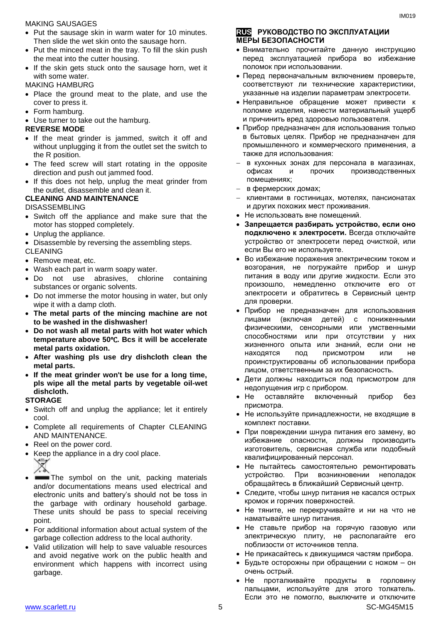# MAKING SAUSAGES

- Put the sausage skin in warm water for 10 minutes. Then slide the wet skin onto the sausage horn.
- Put the minced meat in the tray. To fill the skin push the meat into the cutter housing.
- If the skin gets stuck onto the sausage horn, wet it with some water.

MAKING HAMBURG

- Place the ground meat to the plate, and use the cover to press it.
- Form hamburg.
- Use turner to take out the hamburg.

# **REVERSE MODE**

- If the meat grinder is jammed, switch it off and without unplugging it from the outlet set the switch to the R position.
- The feed screw will start rotating in the opposite direction and push out jammed food.
- If this does not help, unplug the meat grinder from the outlet, disassemble and clean it.

# **CLEANING AND MAINTENANCE**

DISASSEMBLING

- Switch off the appliance and make sure that the motor has stopped completely.
- Unplug the appliance.
- Disassemble by reversing the assembling steps. CLEANING
- Remove meat, etc.
- Wash each part in warm soapy water.
- Do not use abrasives, chlorine containing substances or organic solvents.
- Do not immerse the motor housing in water, but only wipe it with a damp cloth.
- **The metal parts of the mincing machine are not to be washed in the dishwasher!**
- **Do not wash all metal parts with hot water which temperature above 50**℃**. Bcs it will be accelerate metal parts oxidation.**
- **After washing pls use dry dishcloth clean the metal parts.**
- **If the meat grinder won't be use for a long time, pls wipe all the metal parts by vegetable oil-wet dishcloth.**

# **STORAGE**

- Switch off and unplug the appliance; let it entirely cool.
- Complete all requirements of Chapter CLEANING AND MAINTENANCE.
- Reel on the power cord.
- Keep the appliance in a dry cool place. ₲
- The symbol on the unit, packing materials and/or documentations means used electrical and electronic units and battery's should not be toss in the garbage with ordinary household garbage. These units should be pass to special receiving point.
- For additional information about actual system of the garbage collection address to the local authority.
- Valid utilization will help to save valuable resources and avoid negative work on the public health and environment which happens with incorrect using garbage.

# **RUS РУКОВОДСТВО ПО ЭКСПЛУАТАЦИИ МЕРЫ БЕЗОПАСНОСТИ**

- Внимательно прочитайте данную инструкцию перед эксплуатацией прибора во избежание поломок при использовании.
- Перед первоначальным включением проверьте, соответствуют ли технические характеристики, указанные на изделии параметрам электросети.
- Неправильное обращение может привести к поломке изделия, нанести материальный ущерб и причинить вред здоровью пользователя.
- Прибор предназначен для использования только в бытовых целях. Прибор не предназначен для промышленного и коммерческого применения, а также для использования:
- в кухонных зонах для персонала в магазинах, офисах и прочих производственных помещениях;
- в фермерских домах;
- клиентами в гостиницах, мотелях, пансионатах и других похожих мест проживания.
- Не использовать вне помещений.
- **Запрещается разбирать устройство, если оно подключено к электросети.** Всегда отключайте устройство от электросети перед очисткой, или если Вы его не используете.
- Во избежание поражения электрическим током и возгорания, не погружайте прибор и шнур питания в воду или другие жидкости. Если это произошло, немедленно отключите его от электросети и обратитесь в Сервисный центр для проверки.
- Прибор не предназначен для использования лицами (включая детей) с пониженными физическими, сенсорными или умственными способностями или при отсутствии у них жизненного опыта или знаний, если они не находятся под присмотром или не проинструктированы об использовании прибора лицом, ответственным за их безопасность.
- Дети должны находиться под присмотром для недопущения игр с прибором.
- Не оставляйте включенный прибор без присмотра.
- Не используйте принадлежности, не входящие в комплект поставки.
- При повреждении шнура питания его замену, во избежание опасности, должны производить изготовитель, сервисная служба или подобный квалифицированный персонал.
- Не пытайтесь самостоятельно ремонтировать устройство. При возникновении неполадок обращайтесь в ближайший Сервисный центр.
- Следите, чтобы шнур питания не касался острых кромок и горячих поверхностей.
- Не тяните, не перекручивайте и ни на что не наматывайте шнур питания.
- Не ставьте прибор на горячую газовую или электрическую плиту, не располагайте его поблизости от источников тепла.
- Не прикасайтесь к движущимся частям прибора.
- Будьте осторожны при обращении с ножом он очень острый.
- www.scarlett.ru 5 SC-MG45M15 Не проталкивайте продукты в горловину пальцами, используйте для этого толкатель. Если это не помогло, выключите и отключите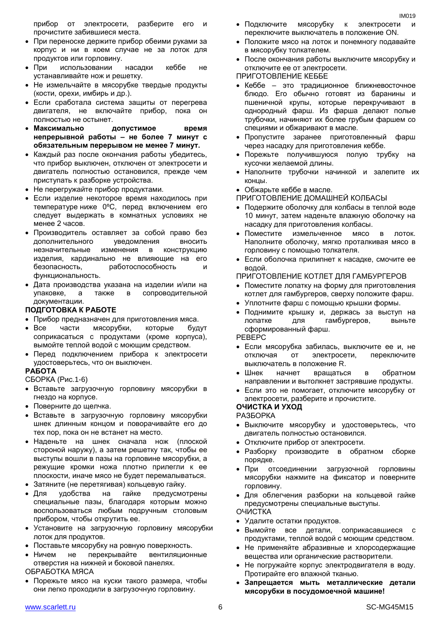- При переноске держите прибор обеими руками за корпус и ни в коем случае не за лоток для продуктов или горловину.
- При использовании насадки кеббе не устанавливайте нож и решетку.
- Не измельчайте в мясорубке твердые продукты (кости, орехи, имбирь и др.).
- Если сработала система защиты от перегрева двигателя, не включайте прибор, пока он полностью не остынет.
- **Максимально допустимое время непрерывной работы – не более 7 минут с обязательным перерывом не менее 7 минут.**
- Каждый раз после окончания работы убедитесь, что прибор выключен, отключен от электросети и двигатель полностью остановился, прежде чем приступать к разборке устройства.
- Не перегружайте прибор продуктами.
- Если изделие некоторое время находилось при температуре ниже 0ºC, перед включением его следует выдержать в комнатных условиях не менее 2 часов.
- Производитель оставляет за собой право без дополнительного уведомления вносить незначительные изменения в конструкцию изделия, кардинально не влияющие на его безопасность, работоспособность и функциональность.
- Дата производства указана на изделии и/или на упаковке, а также в сопроводительной документации.

# **ПОДГОТОВКА К РАБОТЕ**

- Прибор предназначен для приготовления мяса.
- Все части мясорубки, которые будут соприкасаться с продуктами (кроме корпуса), вымойте теплой водой с моющим средством.
- Перед подключением прибора к электросети удостоверьтесь, что он выключен.

# **РАБОТА**

СБОРКА (Рис.1-6)

- Вставьте загрузочную горловину мясорубки в гнездо на корпусе.
- Поверните до щелчка.
- Вставьте в загрузочную горловину мясорубки шнек длинным концом и поворачивайте его до тех пор, пока он не встанет на место.
- Наденьте на шнек сначала нож (плоской стороной наружу), а затем решетку так, чтобы ее выступы вошли в пазы на горловине мясорубки, а режущие кромки ножа плотно прилегли к ее плоскости, иначе мясо не будет перемалываться.
- Затяните (не перетягивая) кольцевую гайку.
- Для удобства на гайке предусмотрены специальные пазы, благодаря которым можно воспользоваться любым подручным столовым прибором, чтобы открутить ее.
- Установите на загрузочную горловину мясорубки лоток для продуктов.
- Поставьте мясорубку на ровную поверхность.
- Ничем не перекрывайте вентиляционные отверстия на нижней и боковой панелях. ОБРАБОТКА МЯСА
- Порежьте мясо на куски такого размера, чтобы они легко проходили в загрузочную горловину.
- Подключите мясорубку к электросети и переключите выключатель в положение ON.
- Положите мясо на лоток и понемногу подавайте в мясорубку толкателем.
- После окончания работы выключите мясорубку и отключите ее от электросети.

ПРИГОТОВЛЕНИЕ КЕББЕ

- Кеббе это традиционное ближневосточное блюдо. Его обычно готовят из баранины и пшеничной крупы, которые перекручивают в однородный фарш. Из фарша делают полые трубочки, начиняют их более грубым фаршем со специями и обжаривают в масле.
- Пропустите заранее приготовленный фарш через насадку для приготовления кеббе.
- Порежьте получившуюся полую трубку на кусочки желаемой длины.
- Наполните трубочки начинкой и залепите их концы.
- Обжарьте кеббе в масле.

ПРИГОТОВЛЕНИЕ ДОМАШНЕЙ КОЛБАСЫ

- Подержите оболочку для колбасы в теплой воде 10 минут, затем наденьте влажную оболочку на насадку для приготовления колбасы.
- Поместите измельченное мясо в лоток. Наполните оболочку, мягко проталкивая мясо в горловину с помощью толкателя.
- Если оболочка прилипнет к насадке, смочите ее водой.
- ПРИГОТОВЛЕНИЕ КОТЛЕТ ДЛЯ ГАМБУРГЕРОВ
- Поместите лопатку на форму для приготовления котлет для гамбургеров, сверху положите фарш.
- Уплотните фарш с помощью крышки формы.
- Поднимите крышку и, держась за выступ на лопатке для гамбургеров, выньте сформированный фарш.

РЕВЕРС

- Если мясорубка забилась, выключите ее и, не отключая от электросети, переключите выключатель в положение R.
- Шнек начнет вращаться в обратном направлении и вытолкнет застрявшие продукты.
- Если это не помогает, отключите мясорубку от электросети, разберите и прочистите.

# **ОЧИСТКА И УХОД**

РАЗБОРКА

- Выключите мясорубку и удостоверьтесь, что двигатель полностью остановился.
- Отключите прибор от электросети.
- Разборку производите в обратном сборке порядке.
- При отсоединении загрузочной горловины мясорубки нажмите на фиксатор и поверните горловину.
- Для облегчения разборки на кольцевой гайке предусмотрены специальные выступы. ОЧИСТКА
- Удалите остатки продуктов.
- Вымойте все детали, соприкасавшиеся с продуктами, теплой водой с моющим средством.
- Не применяйте абразивные и хлорсодержащие вещества или органические растворители.
- Не погружайте корпус электродвигателя в воду. Протирайте его влажной тканью.
- **Запрещается мыть металлические детали мясорубки в посудомоечной машине!**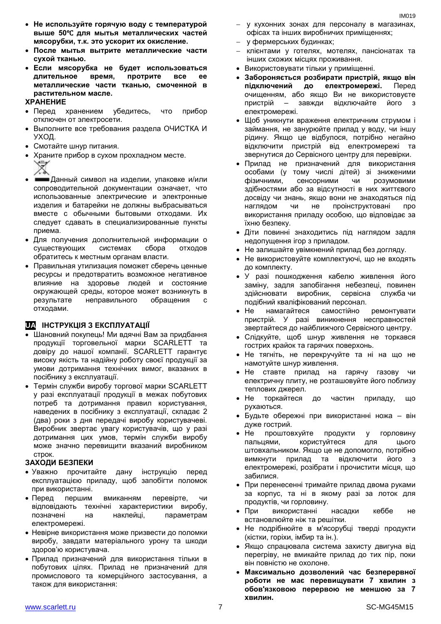- **Не используйте горячую воду с температурой выше 50**℃ **для мытья металлических частей мясорубки, т.к. это ускорит их окисление.**
- **После мытья вытрите металлические части сухой тканью.**
- **Если мясорубка не будет использоваться длительное время, протрите все ее металлические части тканью, смоченной в растительном масле.**

#### **ХРАНЕНИЕ**

- Перед хранением убедитесь, что прибор отключен от электросети.
- Выполните все требования раздела ОЧИСТКА И УХОД.
- Смотайте шнур питания.
- Храните прибор в сухом прохладном месте.
- Данный символ на изделии, упаковке и/или сопроводительной документации означает, что использованные электрические и электронные изделия и батарейки не должны выбрасываться вместе с обычными бытовыми отходами. Их следует сдавать в специализированные пункты приема.
- Для получения дополнительной информации о существующих системах сбора отходов обратитесь к местным органам власти.
- Правильная утилизация поможет сберечь ценные ресурсы и предотвратить возможное негативное влияние на здоровье людей и состояние окружающей среды, которое может возникнуть в результате неправильного обращения с отходами.

# **UA ІНСТРУКЦІЯ З ЕКСПЛУАТАЦІЇ**

- Шановний покупець! Ми вдячні Вам за придбання продукції торговельної марки SCARLETT та довіру до нашої компанії. SCARLETT гарантує високу якість та надійну роботу своєї продукції за умови дотримання технічних вимог, вказаних в посібнику з експлуатації.
- Термін служби виробу торгової марки SCARLETT у разі експлуатації продукції в межах побутових потреб та дотримання правил користування, наведених в посібнику з експлуатації, складає 2 (два) роки з дня передачі виробу користувачеві. Виробник звертає увагу користувачів, що у разі дотримання цих умов, термін служби виробу може значно перевищити вказаний виробником строк.

# **ЗАХОДИ БЕЗПЕКИ**

- Уважно прочитайте дану інструкцію перед експлуатацією приладу, щоб запобігти поломок при використанні.
- Перед першим вмиканням перевірте, чи відповідають технічні характеристики виробу, позначені на наклейці, параметрам електромережі.
- Невiрне використання може призвести до поломки виробу, завдати матеріального урону та шкоди здоров'ю користувача.
- Прилад призначений для використання тільки в побутових цілях. Прилад не призначений для промислового та комерційного застосування, а також для використання:
- у кухонних зонах для персоналу в магазинах, офісах та інших виробничих приміщеннях;
- у фермерських будинках;
- клієнтами у готелях, мотелях, пансіонатах та інших схожих місцях проживання.
- Використовувати тільки у приміщенні.
- **Забороняється розбирати пристрій, якщо він підключений до електромережі.** Перед очищенням, або якщо Ви не використовуєте пристрій – завжди відключайте його з електромережі.
- Щоб уникнути враження електричним струмом і займання, не занурюйте прилад у воду, чи іншу рідину. Якщо це відбулося, потрібно негайно відключити пристрій від електромережі та звернутися до Сервісного центру для перевірки.
- Прилад не призначений для використання особами (у тому числі дітей) зі зниженими фізичними, сенсорними чи розумовими здібностями або за відсутності в них життєвого досвіду чи знань, якщо вони не знаходяться під наглядом чи не проінструктовані про використання приладу особою, що відповідає за їхню безпеку.
- Діти повинні знаходитись під наглядом задля недопущення ігор з приладом.
- Не залишайте увімкнений прилад без догляду.
- Не використовуйте комплектуючі, що не входять до комплекту.
- У разі пошкодження кабелю живлення його заміну, задля запобігання небезпеці, повинен здійснювати виробник, сервісна служба чи подібний кваліфікований персонал.
- Не намагайтеся самостійно ремонтувати пристрій. У разі виникнення несправностей звертайтеся до найближчого Сервісного центру.
- Слідкуйте, щоб шнур живлення не торкався гострих крайок та гарячих поверхонь.
- Не тягніть, не перекручуйте та ні на що не намотуйте шнур живлення.
- Не ставте прилад на гарячу газову чи електричну плиту, не розташовуйте його поблизу теплових джерел.
- Не торкайтеся до частин приладу, що рухаються.
- Будьте обережні при використанні ножа він дуже гострий.
- Не проштовхуйте продукти у горловину пальцями, користуйтеся для цього штовхальником. Якщо це не допомогло, потрібно вимкнути прилад та відключити його з електромережі, розібрати і прочистити місця, що забилися.
- При перенесенні тримайте прилад двома руками за корпус, та ні в якому разі за лоток для продуктів, чи горловину.
- При використанні насадки кеббе не встановлюйте ніж та решітки.
- Не подрібнюйте в м'ясорубці тверді продукти (кістки, горіхи, імбир та ін.).
- Якщо спрацювала система захисту двигуна від перегріву, не вмикайте прилад до тих пір, поки він повністю не охолоне.
- **Максимально дозволений час безперервної роботи не має перевищувати 7 хвилин з обов'язковою перервою не меншою за 7 хвилин.**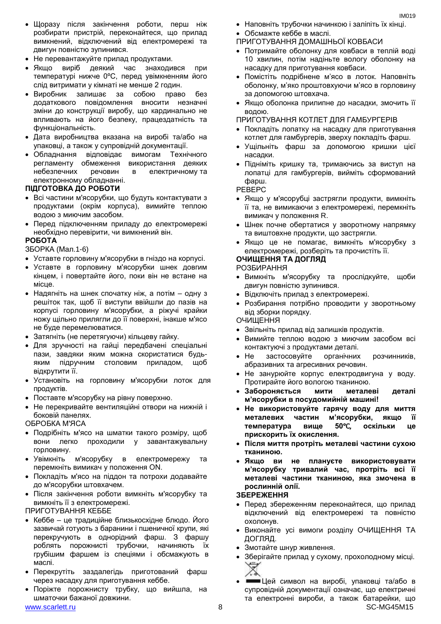- Щоразу після закінчення роботи, перш ніж розбирати пристрій, переконайтеся, що прилад вимкнений, відключений від електромережі та двигун повністю зупинився.
- Не перевантажуйте прилад продуктами.
- Якщо виріб деякий час знаходився при температурі нижче 0ºC, перед увімкненням його слід витримати у кімнаті не менше 2 годин.
- Виробник залишає за собою право без додаткового повідомлення вносити незначні зміни до конструкції виробу, що кардинально не впливають на його безпеку, працездатність та функціональність.
- Дата виробництва вказана на виробі та/або на упаковці, а також у супровідній документації.
- Обладнання відповідає вимогам Технічного регламенту обмеження використання деяких небезпечних речовин в електричному та електронному обладнанні.

# **ПІДГОТОВКА ДО РОБОТИ**

- Всі частини м'ясорубки, що будуть контактувати з продуктами (окрім корпуса), вимийте теплою водою з миючим засобом.
- Перед підключенням приладу до електромережі необхідно перевірити, чи вимкнений він.

#### **РОБОТА**

ЗБОРКА (Мал.1-6)

- Уставте горловину м'ясорубки в гніздо на корпусі.
- Уставте в горловину м'ясорубки шнек довгим кінцем, і повертайте його, поки він не встане на місце.
- Надягніть на шнек спочатку ніж, а потім одну з решіток так, щоб її виступи ввійшли до пазiв на корпусі горловину м'ясорубки, а ріжучі крайки ножу щільно прилягли до її поверхні, інакше м'ясо не буде перемелюватися.
- Затягніть (не перетягуючи) кільцеву гайку.
- Для зручності на гайці передбачені спеціальні пази, завдяки яким можна скористатися будьяким підручним столовим приладом, щоб відкрутити її.
- Установіть на горловину м'ясорубки лоток для продуктів.
- Поставте м'ясорубку на рівну поверхню.
- Не перекривайте вентиляційні отвори на нижній і боковій панелях.

# ОБРОБКА М'ЯСА

- Подрібніть м'ясо на шматки такого розміру, щоб вони легко проходили у завантажувальну горловину.
- Увімкніть м'ясорубку в електромережу та перемкніть вимикач у положення ON.
- Покладіть м'ясо на піддон та потрохи додавайте до м'ясорубки штовхачем.
- Після закінчення роботи вимкніть м'ясорубку та вимкніть її з електромережі.

# ПРИГОТУВАННЯ КЕББЕ

- Кеббе це традиційне близькосхідне блюдо. Його зазвичай готують з баранини і пшеничної крупи, які перекручують в однорідний фарш. З фаршу роблять порожнисті трубочки, начиняють їх грубішим фаршем із спеціями і обсмажують в маслі.
- Перекрутіть заздалегідь приготований фарш через насадку для приготування кеббе.
- Поріжте порожнисту трубку, що вийшла, на шматочки бажаної довжини.
- Наповніть трубочки начинкою і заліпіть їх кінці.
- Обсмажте кеббе в маслі.

# ПРИГОТУВАННЯ ДОМАШНЬОЇ КОВБАСИ

- Потримайте оболонку для ковбаси в теплій воді 10 хвилин, потім надіньте вологу оболонку на насадку для приготування ковбаси.
- Помістіть подрібнене м'ясо в лоток. Наповніть оболонку, м'яко проштовхуючи м'ясо в горловину за допомогою штовхача.
- Якщо оболонка прилипне до насадки, змочить її водою.

# ПРИГОТУВАННЯ КОТЛЕТ ДЛЯ ГАМБУРГЕРІВ

- Покладіть лопатку на насадку для приготування котлет для гамбургерів, зверху покладіть фарш.
- Ущільніть фарш за допомогою кришки цієї насадки.
- Підніміть кришку та, тримаючись за виступ на лопатці для гамбургерів, вийміть сформований фарш.

# РЕВЕРС

- Якщо у м'ясорубці застрягли продукти, вимкніть її та, не вимикаючи з електромережі, перемкніть вимикач у положення R.
- Шнек почне обертатися у зворотному напрямку та виштовхне продукти, що застрягли.
- Якщо це не помагає, вимкніть м'ясорубку з електромережі, розберіть та прочистіть її.

# **ОЧИЩЕННЯ ТА ДОГЛЯД**

# РОЗБИРАННЯ

- Вимкніть м'ясорубку та прослідкуйте, щоби двигун повністю зупинився.
- Відключіть прилад з електромережі.
- Розбирання потрібно проводити у зворотньому від зборки порядку.

ОЧИЩЕННЯ

- Звільніть прилад від залишків продуктів.
- Вимийте теплою водою з миючим засобом всі контактуючі з продуктами деталі.
- Не застосовуйте органічних розчинників, абразивних та агресивних речовин.
- Не занурюйте корпус електродвигуна у воду. Протирайте його вологою тканиною.
- **Забороняється мити металеві деталі м'ясорубки в посудомийній машині!**
- **Не використовуйте гарячу воду для миття металевих частин м'ясорубки, якщо її температура вище 50**℃, **оскільки це прискорить їх окислення.**
- **Після миття протріть металеві частини сухою тканиною.**
- **Якщо ви не плануєте використовувати м'ясорубку тривалий час, протріть всі її металеві частини тканиною, яка змочена в рослинній олії.**

# **ЗБЕРЕЖЕННЯ**

- Перед збереженням переконайтеся, що прилад відключений від електромережі та повністю охолонув.
- Виконайте усі вимоги розділу ОЧИЩЕННЯ ТА ДОГЛЯД.
- Змотайте шнур живлення.
- Зберігайте прилад у сухому, прохолодному місці.
- www.scarlett.ru 8 SC-MG45M15 Цей символ на виробі, упаковці та/або в супровідній документації означає, що електричні та електронні вироби, а також батарейки, що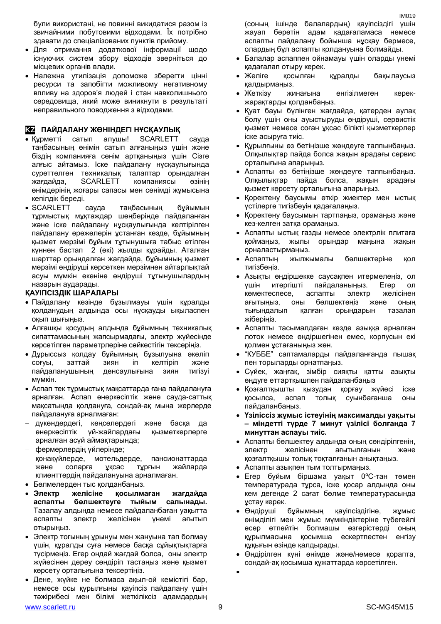були використані, не повинні викидатися разом із звичайними побутовими відходами. Їх потрібно здавати до спеціалізованих пунктів прийому.

- Для отримання додаткової інформації щодо існуючих систем збору відходів зверніться до місцевих органів влади.
- Належна утилізація допоможе зберегти цінні ресурси та запобігти можливому негативному впливу на здоров'я людей і стан навколишнього середовища, який може виникнути в результаті неправильного поводження з відходами.

# **KZ ПАЙДАЛАНУ ЖӨНІНДЕГІ НҰСҚАУЛЫҚ**

- Құрметті сатып алушы! SCARLETT сауда таңбасының өнімін сатып алғаныңыз үшін және біздің компанияға сенім артқаныңыз үшін Сізге алғыс айтамыз. Іске пайдалану нұсқаулығында суреттелген техникалық талаптар орындалған жағдайда, SCARLETT компаниясы өзінің өнімдерінің жоғары сапасы мен сенімді жұмысына кепілдік береді.
- SCARLETT сауда таңбасының бүйымын тұрмыстық мұқтаждар шеңберінде пайдаланған және іске пайдалану нұсқаулығында келтірілген пайдалану ережелерін ұстанған кезде, бұйымның қызмет мерзімі бұйым тұтынушыға табыс етілген күннен бастап 2 (екі) жылды құрайды. Аталған шарттар орындалған жағдайда, бұйымның қызмет мерзімі өндіруші көрсеткен мерзімнен айтарлықтай асуы мүмкін екеніне өндіруші тұтынушылардың назарын аударады.

# **ҚАУІПСІЗДІК ШАРАЛАРЫ**

- Пайдалану кезінде бұзылмауы үшін құралды қолданудың алдында осы нұсқауды ықыласпен оқып шығыңыз.
- Алғашқы қосудың алдында бұйымның техникалық сипаттамасының жапсырмадағы, электр жүйесінде көрсетілген параметрлеріне сәйкестігін тексеріңіз.
- Дұрыссыз қолдау бұйымның бұзылуына әкеліп соғуы, заттай зиян іп келтіріп және пайдаланушының денсаулығына зиян тигізуі мүмкін.
- Аспап тек тұрмыстық мақсаттарда ғана пайдалануға арналған. Аспап өнеркәсіптік және сауда-саттық мақсатында қолдануға, сондай-ақ мына жерлерде пайдалануға арналмаған:
- дүкендердегі, кеңселердегі және басқа да өнеркәсіптік үй-жайлардағы қызметкерлерге арналған асүй аймақтарында;
- фермерлердің үйлерінде;
- қонақүйлерде, мотельдерде, пансионаттарда және соларға ұқсас тұрғын жайларда клиенттердің пайдалануына арналмаған.
- Бөлмелерден тыс қолданбаңыз.
- **Электр желісіне қосылмаған жағдайда аспапты бөлшектеуге тыйым салынады.**  Тазалау алдында немесе пайдаланбаған уақытта аспапты электр желісінен үнемі ағытып отырыңыз.
- Электр тогының ұрынуы мен жануына тап болмау үшін, құралды суға немесе басқа сұйықтықтарға түсірмеңіз. Егер ондай жағдай болса, оны электр жүйесінен дереу сөндіріп тастаңыз және қызмет көрсету орталығына тексертіңіз.
- www.scarlett.ru 9 SC-MG45M15 Дене, жүйке не болмаса ақыл-ой кемістігі бар, немесе осы құрылғыны қауіпсіз пайдалану үшін тәжірибесі мен білімі жеткіліксіз адамдардың

(соның ішінде балалардың) қауіпсіздігі үшін жауап беретін адам қадағаламаса немесе аспапты пайдалану бойынша нұсқау бермесе, олардың бұл аспапты қолдануына болмайды.

IM<sub>019</sub>

- Балалар аспаппен ойнамауы үшін оларды үнемі қадағалап отыру керек.
- Желіге қосылған құралды бақылаусыз қалдырмаңыз.
- Жеткізу жинағына енгізілмеген керекжарақтарды қолданбаңыз.
- Қуат бауы бүлінген жағдайда, қатерден аулақ болу үшін оны ауыстыруды өндіруші, сервистік қызмет немесе соған ұқсас білікті қызметкерлер іске асыруға тиіс.
- Құрылғыны өз бетіңізше жөндеуге талпынбаңыз. Олқылықтар пайда болса жақын арадағы сервис орталығына апарыңыз.
- Аспапты өз бетіңізше жөндеуге талпынбаңыз. Олқылықтар пайда болса, жақын арадағы қызмет көрсету орталығына апарыңыз.
- Қоректену баусымы өткір жиектер мен ыстық үстілерге тигізбеуін қадағалаңыз.
- Қоректену баусымын тартпаңыз, орамаңыз және кез-келген затқа орамаңыз.
- Аспапты ыстық газды немесе электрлік плитаға қоймаңыз, жылы орындар маңына жақын орналастырмаңыз.
- Аспаптың жылжымалы бөлшектеріне қол тигізбеңіз.
- Азықты өңдіршекке саусақпен итермелеңіз, ол үшін итергішті пайдаланыңыз. Егер ол көмектеспесе, аспапты электр желісінен ағытыңыз, оны бөлшектеңіз және оның тығындалып қалған орындарын тазалап жіберіңіз.
- Аспапты тасымалдаған кезде азыққа арналған лоток немесе өңдіршегінен емес, корпусын екі қолмен ұстағаныңыз жөн.
- "КУББЕ" саптамаларды пайдаланғанда пышақ пен торыларды орнатпаңыз.
- Сүйек, жаңғақ, зімбір сияқты қатты азықты өңдуге еттартқышпен пайдаланбаңыз
- Қозғалтқышты қызудан қорғау жүйесі іске қосылса, аспап толық суынбағанша оны пайдаланбаңыз.
- **Үзіліссіз жұмыс істеуінің максималды уақыты – міндетті түрде 7 минут үзілісі болғанда 7 минуттан аспауы тиіс.**
- Аспапты бөлшектеу алдында оның сөндірілгенін, электр желісінен ағытылғанын және қозғалтқышы толық тоқталғанын анықтаңыз.
- Аспапты азықпен тым толтырмаңыз.
- Егер бұйым біршама уақыт 0ºC-тан төмен температурада тұрса, іске қосар алдында оны кем дегенде 2 сағат бөлме температурасында ұстау керек.
- Өндіруші бұйымның қауіпсіздігіне, жұмыс өнімділігі мен жұмыс мүмкіндіктеріне түбегейлі әсер етпейтін болмашы өзгерістерді оның құрылмасына қосымша ескертпестен енгізу құқығын өзінде қалдырады.
- Өндірілген күні өнімде және/немесе қорапта, сондай-ақ қосымша құжаттарда көрсетілген.
- $\bullet$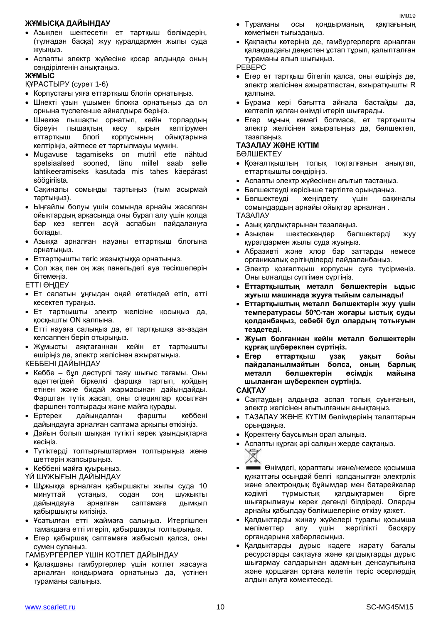# **ЖҰМЫСҚА ДАЙЫНДАУ**

- Азықпен шектесетін ет тартқыш бөлімдерін, (тұлғадан басқа) жуу құралдармен жылы суда жуыңыз.
- Аспапты электр жүйесіне қосар алдында оның сөндірілгенін анықтаңыз.

#### **ЖҰМЫС**

ҚҰРАСТЫРУ (сурет 1-6)

- Корпустағы ұяға еттартқыш блогін орнатыңыз.
- Шнекті ұзын ұшымен блокка орнатыңыз да ол орнына түспегенше айналдыра беріңіз.
- Шнекке пышақты орнатып, кейін торлардың біреуін пышақтың кесу қырын келтірумен еттартқыш блогі корпусының ойықтарына келтіріңіз, әйтпесе ет тартылмауы мүмкін.
- Mugavuse tagamiseks on mutril ette nähtud spetsiaalsed sooned, tänu millel saab selle lahtikeeramiseks kasutada mis tahes käepärast söögiriista.
- Сақиналы сомынды тартыңыз (тым асырмай тартыңыз).
- Ыңғайлы болуы үшін сомында арнайы жасалған ойықтардың арқасында оны бұрап алу үшін қолда бар кез келген асүй аспабын пайдалануға болады.
- Азыққа арналған науаны еттартқыш блогына орнатыңыз.
- Еттартқышты тегіс жазықтыққа орнатыңыз.
- Сол жақ пен оң жақ панельдегі ауа тесікшелерін бітемеңіз.

ЕТТІ ӨҢДЕУ

- Ет салатын ұңғыдан оңай өтетіндей етіп, етті кесектеп тураңыз.
- Ет тартқышты злектр желісіне қосыңыз да, қосқышты ON қалпына.
- Етті науаға салыңыз да, ет тартқышқа аз-аздан келсаппен беріп отырыңыз.
- Жұмысты аяқтағаннан кейін ет тартқышты өшіріңіз де, электр желісінен ажыратыңыз.

КЕББЕНІ ДАЙЫНДАУ

- Кеббе бұл дәстүрлі таяу шығыс тағамы. Оны әдеттегідей біркелкі фаршқа тартып, қойдың етінен және бидай жармасынан дайындайды. Фарштан түтік жасап, оны специялар қосылған фаршпен толтырады және майға қурады.
- Ертерек дайындалған фаршты кеббені дайындауға арналған саптама арқылы өткізіңіз.
- Дайын болып шыққан түтікті керек ұзындықтарға кесіңіз.
- Түтіктерді толтырғыштармен толтырыңыз және шеттерін жапсырыңыз.

Кеббені майға қуырыңыз.

ҮЙ ШҰЖЫҒЫН ДАЙЫНДАУ

- Шұжыққа арналған қабыршақты жылы суда 10 минуттай ұстаңыз, содан соң шұжықты дайындауға арналған саптамаға дымқыл қабыршықты кигізіңіз.
- Ұсатылған етті жаймаға салыңыз. Итергішпен тамақшаға етті итеріп, қабыршақты толтырыңыз.
- Егер қабыршақ саптамаға жабысып қалса, оны сумен сулаңыз.

ГАМБУРГЕРЛЕР ҮШІН КОТЛЕТ ДАЙЫНДАУ

 Қалақшаны гамбургерлер үшін котлет жасауға арналған қондырмаға орнатыңыз да, үстінен тураманы салыңыз.

- Тураманы осы қондырманың қақпағының көмегімен тығыздаңыз.
- Қақпақты көтеріңіз де, гамбургерлерге арналған қалақшадағы дөңестен ұстап тұрып, қалыпталған тураманы алып шығыңыз.

РЕВЕРС

- Егер ет тартқыш бітеліп қалса, оны өшіріңіз де, электр желісінен ажыратпастан, ажыратқышты R қалпына.
- Бұрама кері бағытта айнала бастайды да, кептеліп қалған өнімді итеріп шығарады.
- Егер мұның көмегі болмаса, ет тартқышты электр желісінен ажыратыңыз да, бөлшектеп, тазалаңыз.

# **ТАЗАЛАУ ЖӘНЕ КҮТІМ**

БӨЛШЕКТЕУ

- Қозғалтқыштың толық тоқталғанын анықтап, еттартқышты сөндіріңіз.
- Аспапты электр жүйесінен ағытып тастаңыз.
- Бөлшектеуді керісінше тәртіпте орындаңыз.
- Бөлшектеуді жеңілдету үшін сақиналы сомындардың арнайы ойықтар арналған .

ТАЗАЛАУ

- Азық қалдықтарынан тазалаңыз.
- Азықпен шектескендер бөлшектерді жуу құралдармен жылы суда жуыңыз.
- Абразивті және хлор бар заттарды немесе органикалық ерітінділерді пайдаланбаңыз.
- Электр қозғалтқыш корпусын суға түсірмеңіз. Оны ылғалды сүлгімен сүртіңіз.
- **Еттартқыштың металл бөлшектерін ыдыс жуғыш машинада жууға тыйым салынады!**
- **Еттартқыштың металл бөлшектерін жуу үшін температурасы 50**℃**-тан жоғары ыстық суды қолданбаңыз, себебі бұл олардың тотығуын тездетеді.**
- **Жуып болғаннан кейін металл бөлшектерін құрғақ шүберекпен сүртіңіз.**
- **Егер еттартқыш ұзақ уақыт бойы пайдаланылмайтын болса, оның барлық металл бөлшектерін өсімдік майына шыланған шүберекпен сүртіңіз.**

#### **САҚТАУ**

- Сақтаудың алдында аспап толық суынғанын, электр желісінен ағытылғанын анықтаңыз.
- ТАЗАЛАУ ЖӘНЕ КҮТІМ бөлімдерінің талаптарын орындаңыз.
- Қоректену баусымын орап алыңыз.
- Аспапты құрғақ әрі салқын жерде сақтаңыз.<br>Х
- Өнімдегі, қораптағы және/немесе қосымша құжаттағы осындай белгі қолданылған электрлік және электрондық бұйымдар мен батарейкалар кәдімгі тұрмыстық қалдықтармен бірге шығарылмауы керек дегенді білдіреді. Оларды арнайы қабылдау бөлімшелеріне өткізу қажет.
- Қалдықтарды жинау жүйелері туралы қосымша мәліметтер алу үшін жергілікті басқару органдарына хабарласыңыз.
- Қалдықтарды дұрыс кәдеге жарату бағалы ресурстарды сақтауға және қалдықтарды дұрыс шығармау салдарынан адамның денсаулығына және қоршаған ортаға келетін теріс әсерлердің алдын алуға көмектеседі.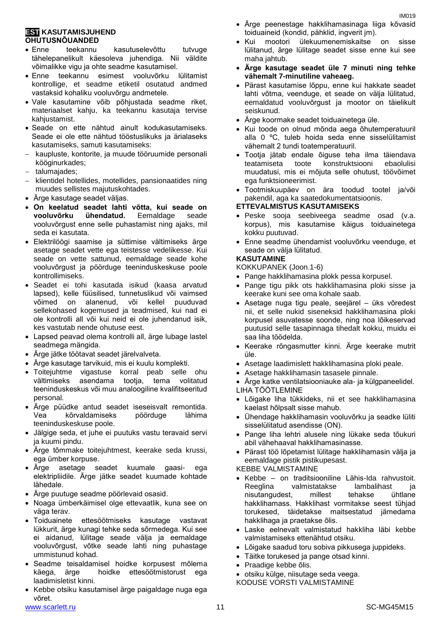# IM019

# **EST KASUTAMISJUHEND OHUTUSNÕUANDED**

- Enne teekannu kasutuselevõttu tutvuge tähelepanelikult käesoleva juhendiga. Nii väldite võimalikke vigu ja ohte seadme kasutamisel.
- Enne teekannu esimest vooluvõrku lülitamist kontrollige, et seadme etiketil osutatud andmed vastaksid kohaliku vooluvõrgu andmetele.
- Vale kasutamine võib põhjustada seadme riket, materiaalset kahju, ka teekannu kasutaja tervise kahjustamist.
- Seade on ette nähtud ainult kodukasutamiseks. Seade ei ole ette nähtud tööstuslikuks ja ärialaseks kasutamiseks, samuti kasutamiseks:
- kaupluste, kontorite, ja muude tööruumide personali kööginurkades;
- talumajades;
- klientidel hotellides, motellides, pansionaatides ning muudes sellistes majutuskohtades.
- Ärge kasutage seadet väljas.
- **On keelatud seadet lahti võtta, kui seade on vooluvõrku ühendatud.** Eemaldage seade vooluvõrgust enne selle puhastamist ning ajaks, mil seda ei kasutata.
- Elektrilöögi saamise ja süttimise vältimiseks ärge asetage seadet vette ega teistesse vedelikesse. Kui seade on vette sattunud, eemaldage seade kohe vooluvõrgust ja pöörduge teeninduskeskuse poole kontrollimiseks.
- Seadet ei tohi kasutada isikud (kaasa arvatud lapsed), kelle füüsilised, tunnetuslikud või vaimsed võimed on alanenud, või kellel puuduvad sellekohased kogemused ja teadmised, kui nad ei ole kontrolli all või kui neid ei ole juhendanud isik, kes vastutab nende ohutuse eest.
- Lapsed peavad olema kontrolli all, ärge lubage lastel seadmega mängida.
- Ärge jätke töötavat seadet järelvalveta.
- Ärge kasutage tarvikuid, mis ei kuulu komplekti.
- Toiteiuhtme vigastuse korral peab selle ohu vältimiseks asendama tootja, tema volitatud teeninduskeskus või muu analoogiline kvalifitseeritud personal.
- Ärge püüdke antud seadet iseseisvalt remontida. Vea kõrvaldamiseks pöörduge lähima teeninduskeskuse poole.
- Jälgige seda, et juhe ei puutuks vastu teravaid servi ja kuumi pindu.
- Ärge tõmmake toitejuhtmest, keerake seda krussi, ega ümber korpuse.
- Ärge asetage seadet kuumale gaasi- ega elektripliidile. Ärge jätke seadet kuumade kohtade lähedale.
- Ärge puutuge seadme pöörlevaid osasid.
- Noaga ümberkäimisel olge ettevaatlik, kuna see on väga terav.
- Toiduainete ettesöötmiseks kasutage vastavat lükkurit, ärge kunagi tehke seda sõrmedega. Kui see ei aidanud, lülitage seade välja ja eemaldage vooluvõrgust, võtke seade lahti ning puhastage ummistunud kohad.
- Seadme teisaldamisel hoidke korpusest mõlema käega, ärge hoidke ettesöötmistorust ega laadimisletist kinni.
- www.scarlett.ru 11 SC-MG45M15 Kebbe otsiku kasutamisel ärge paigaldage nuga ega võret.
- Ärge peenestage hakklihamasinaga liiga kõvasid toiduaineid (kondid, pähklid, ingverit jm).
- Kui mootori ülekuumenemiskaitse on sisse lülitanud, ärge lülitage seadet sisse enne kui see maha jahtub.
- **Ärge kasutage seadet üle 7 minuti ning tehke vähemalt 7-minutiline vaheaeg.**
- Pärast kasutamise lõppu, enne kui hakkate seadet lahti võtma, veenduge, et seade on välja lülitatud, eemaldatud vooluvõrgust ja mootor on täielikult seiskunud.
- Ärge koormake seadet toiduainetega üle.
- Kui toode on olnud mõnda aega õhutemperatuuril alla 0 ºC, tuleb hoida seda enne sisselülitamist vähemalt 2 tundi toatemperatuuril.
- Tootja jätab endale õiguse teha ilma täiendava teatamiseta toote konstruktsiooni ebaolulisi muudatusi, mis ei mõjuta selle ohutust, töövõimet ega funktsioneerimist.
- Tootmiskuupäev on ära toodud tootel ja/või pakendil, aga ka saatedokumentatsioonis.

# **ETTEVALMISTUS KASUTAMISEKS**

- Peske sooja seebiveega seadme osad (v.a. korpus), mis kasutamise käigus toiduainetega kokku puutuvad.
- Enne seadme ühendamist vooluvõrku veenduge, et seade on välja lülitatud.

# **KASUTAMINE**

KOKKUPANEK (Joon.1-6)

- Pange hakklihamasina plokk pessa korpusel.
- Pange tigu pikk ots hakklihamasina ploki sisse ja keerake kuni see oma kohale saab.
- Asetage nuga tigu peale, seejärel üks võredest nii, et selle nukid siseneksid hakklihamasina ploki korpusel asuvatesse soonde, ning noa lõikeservad puutusid selle tasapinnaga tihedalt kokku, muidu ei saa liha töödelda.
- Keerake rõngasmutter kinni. Ärge keerake mutrit üle.
- Asetage laadimislett hakklihamasina ploki peale.
- Asetage hakklihamasin tasasele pinnale.
- Ärge katke ventilatsiooniauke ala- ja külgpaneelidel. LIHA TÖÖTLEMINE
- Lõigake liha tükkideks, nii et see hakklihamasina kaelast hõlpsalt sisse mahub.
- Ühendage hakklihamasin vooluvõrku ja seadke lüliti sisselülitatud asendisse (ON).
- Pange liha lehtri alusele ning lükake seda tõukuri abil vähehaaval hakklihamasinasse.
- Pärast töö lõpetamist lülitage hakklihamasin välja ja eemaldage pistik pistikupesast.

KEBBE VALMISTAMINE

- Kebbe on traditsiooniline Lähis-Ida rahvustoit. Reeglina valmistatakse lambalihast ja nisutangudest, millest tehakse ühtlane hakklihamass. Hakklihast vormitakse seest tühjad torukesed, täidetakse maitsestatud jämedama hakklihaga ja praetakse õlis.
- Laske eelnevalt valmistatud hakkliha läbi kebbe valmistamiseks ettenähtud otsiku.
- Lõigake saadud toru sobiva pikkusega juppideks.
- Täitke torukesed ja pange otsad kinni.
- Praadige kebbe õlis.

otsiku külge, niisutage seda veega.

KODUSE VORSTI VALMISTAMINE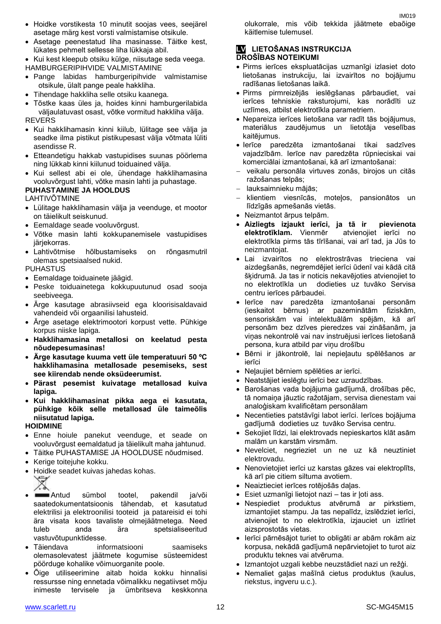- Hoidke vorstikesta 10 minutit soojas vees, seejärel asetage märg kest vorsti valmistamise otsikule.
- Asetage peenestatud liha masinasse. Täitke kest, lükates pehmelt sellesse liha lükkaja abil.

• Kui kest kleepub otsiku külge, niisutage seda veega. HAMBURGERIPIHVIDE VALMISTAMINE

- Pange labidas hamburgeripihvide valmistamise otsikule, ülalt pange peale hakkliha.
- Tihendage hakkliha selle otsiku kaanega.
- Tõstke kaas üles ja, hoides kinni hamburgerilabida väljaulatuvast osast, võtke vormitud hakkliha välja. REVERS
- Kui hakklihamasin kinni kiilub, lülitage see välja ja seadke ilma pistikut pistikupesast välja võtmata lüliti asendisse R.
- Etteandetigu hakkab vastupidises suunas pöörlema ning lükkab kinni kiilunud toiduained välja.
- Kui sellest abi ei ole, ühendage hakklihamasina vooluvõrgust lahti, võtke masin lahti ja puhastage.

# **PUHASTAMINE JA HOOLDUS**

LAHTIVÕTMINE

- Lülitage hakklihamasin välja ja veenduge, et mootor on täielikult seiskunud.
- Eemaldage seade vooluvõrgust.
- Võtke masin lahti kokkupanemisele vastupidises järjekorras.
- Lahtivõtmise hõlbustamiseks on rõngasmutril olemas spetsiaalsed nukid.

# PUHASTUS

- Eemaldage toiduainete jäägid.
- Peske toiduainetega kokkupuutunud osad sooja seebiveega.
- Ärge kasutage abrasiivseid ega kloorisisaldavaid vahendeid või orgaanilisi lahusteid.
- Ärge asetage elektrimootori korpust vette. Pühkige korpus niiske lapiga.
- **Hakklihamasina metallosi on keelatud pesta nõudepesumasinas!**
- **Ärge kasutage kuuma vett üle temperatuuri 50 ºC hakklihamasina metallosade pesemiseks, sest see kiirendab nende oksüdeerumist.**
- **Pärast pesemist kuivatage metallosad kuiva lapiga.**
- **Kui hakklihamasinat pikka aega ei kasutata, pühkige kõik selle metallosad üle taimeõlis niisutatud lapiga.**

# **HOIDMINE**

- Enne hoiule panekut veenduge, et seade on vooluvõrgust eemaldatud ja täielikult maha jahtunud.
- Täitke PUHASTAMISE JA HOOLDUSE nõudmised.
- Kerige toitejuhe kokku.
- Hoidke seadet kuivas jahedas kohas.



- Antud sümbol tootel, pakendil ja/või saatedokumentatsioonis tähendab, et kasutatud elektrilisi ja elektroonilisi tooteid ja patareisid ei tohi ära visata koos tavaliste olmejäätmetega. Need tuleb anda ära spetsialiseeritud vastuvõtupunktidesse.
- Täiendava informatsiooni saamiseks olemasolevatest jäätmete kogumise süsteemidest pöörduge kohalike võimuorganite poole.
- Õige utiliseerimine aitab hoida kokku hinnalisi ressursse ning ennetada võimalikku negatiivset mõju inimeste tervisele ja ümbritseva keskkonna

IM<sub>019</sub> olukorrale, mis võib tekkida jäätmete ebaõige käitlemise tulemusel.

# **LV LIETOŠANAS INSTRUKCIJA DROŠĪBAS NOTEIKUMI**

- Pirms ierīces ekspluatācijas uzmanīgi izlasiet doto lietošanas instrukciju, lai izvairītos no bojājumu radīšanas lietošanas laikā.
- Pirms pirmreizējās ieslēgšanas pārbaudiet, vai ierīces tehniskie raksturojumi, kas norādīti uz uzlīmes, atbilst elektrotīkla parametriem.
- Nepareiza ierīces lietošana var radīt tās bojājumus, materiālus zaudējumus un lietotāja veselības kaitējumus.
- Ierīce paredzēta izmantošanai tikai sadzīves vajadzībām. Ierīce nav paredzēta rūpnieciskai vai komerciālai izmantošanai, kā arī izmantošanai:
- veikalu personāla virtuves zonās, birojos un citās ražošanas telpās;
- lauksaimnieku mājās;
- klientiem viesnīcās, moteļos, pansionātos un līdzīgās apmešanās vietās.
- Neizmantot ārpus telpām.
- **Aizliegts izjaukt ierīci, ja tā ir pievienota elektrotīklam.** Vienmēr atvienojiet ierīci no elektrotīkla pirms tās tīrīšanai, vai arī tad, ja Jūs to neizmantojat.
- Lai izvairītos no elektrostrāvas trieciena vai aizdegšanās, negremdējiet ierīci ūdenī vai kādā citā šķidrumā. Ja tas ir noticis nekavējoties atvienojiet to no elektrotīkla un dodieties uz tuvāko Servisa centru ierīces pārbaudei.
- Ierīce nav paredzēta izmantošanai personām (ieskaitot bērnus) ar pazeminātām fiziskām, sensoriskām vai intelektuālām spējām, kā arī personām bez dzīves pieredzes vai zināšanām, ja viņas nekontrolē vai nav instruējusi ierīces lietošanā persona, kura atbild par viņu drošību
- Bērni ir jākontrolē, lai nepieļautu spēlēšanos ar ierīci
- Neļaujiet bērniem spēlēties ar ierīci.
- Neatstājiet ieslēgtu ierīci bez uzraudzības.
- Barošanas vada bojājuma gadījumā, drošības pēc, tā nomaiņa jāuztic ražotājam, servisa dienestam vai analoģiskam kvalificētam personālam
- Necentieties patstāvīgi labot ierīci. Ierīces bojājuma gadījumā dodieties uz tuvāko Servisa centru.
- Sekojiet līdzi, lai elektrovads nepieskartos klāt asām malām un karstām virsmām.
- Nevelciet, negrieziet un ne uz kā neuztiniet elektrovadu.
- Nenovietojiet ierīci uz karstas gāzes vai elektroplīts, kā arī pie citiem siltuma avotiem.
- Neaiztieciet ierīces rotējošās daļas.
- Esiet uzmanīgi lietojot nazi tas ir ļoti ass.
- Nespiediet produktus atvērumā ar pirkstiem, izmantojiet stampu. Ja tas nepalīdz, izslēdziet ierīci, atvienojiet to no elektrotīkla, izjauciet un iztīriet aizsprostotās vietas.
- Ierīci pārnēsājot turiet to obligāti ar abām rokām aiz korpusa, nekādā gadījumā nepārvietojiet to turot aiz produktu teknes vai atvēruma.
- Izmantojot uzgali kebbe neuzstādiet nazi un režģi.
- Nemaliet gaļas mašīnā cietus produktus (kaulus, riekstus, ingveru u.c.).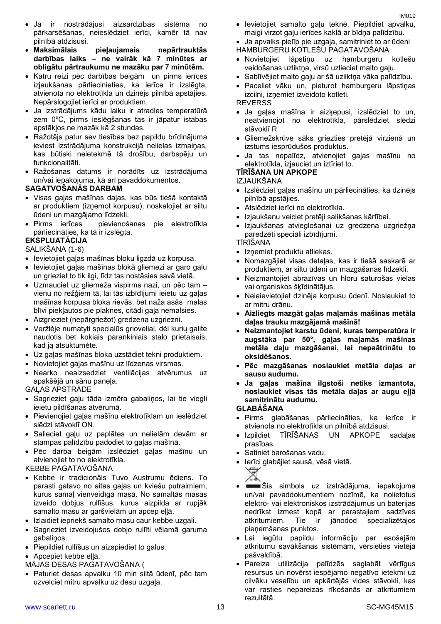- Ja ir nostrādājusi aizsardzības sistēma no pārkarsēšanas, neieslēdziet ierīci, kamēr tā nav pilnībā atdzisusi.
- **Maksimālais pieļaujamais nepārtrauktās darbības laiks – ne vairāk kā 7 minūtes ar obligātu pārtraukumu ne mazāku par 7 minūtēm.**
- Katru reizi pēc darbības beigām un pirms ierīces izjaukšanas pārliecinieties, ka ierīce ir izslēgta, atvienota no elektrotīkla un dzinējs pilnībā apstājies. Nepārslogojiet ierīci ar produktiem.
- Ja izstrādājums kādu laiku ir atradies temperatūrā zem 0ºC, pirms ieslēgšanas tas ir jāpatur istabas apstākļos ne mazāk kā 2 stundas.
- Ražotājs patur sev tiesības bez papildu brīdinājuma ieviest izstrādājuma konstrukcijā nelielas izmaiņas, kas būtiski neietekmē tā drošību, darbspēju un funkcionalitāti.
- Ražošanas datums ir norādīts uz izstrādājuma un/vai iepakojuma, kā arī pavaddokumentos.

# **SAGATVOŠANĀS DARBAM**

- Visas gaļas mašīnas daļas, kas būs tiešā kontaktā ar produktiem (izņemot korpusu), noskalojiet ar siltu ūdeni un mazgājamo līdzekli.
- Pirms ierīces pievienošanas pie elektrotīkla pārliecināties, ka tā ir izslēgta.

# **EKSPLUATĀCIJA**

- SALIKŠANA (1-6)
- Ievietojiet gaļas mašīnas bloku ligzdā uz korpusa.
- Ievietojiet gaļas mašīnas blokā gliemezi ar garo galu un grieziet to tik ilgi, līdz tas nostāsies savā vietā.
- Uzmauciet uz gliemeža vispirms nazi, un pēc tam vienu no režģiem tā, lаi tās izbīdījumi ieietu uz gaļas mašīnas korpusa bloka rievās, bet naža asās malas blīvi piekļautos pie plaknes, citādi gaļa nemalsies.
- Aizgrieziet (nepārgriežot) gredzena uzgriezni.
- Veržlėje numatyti specialūs grioveliai, dėl kurių galite naudotis bet kokiais parankiniais stalo prietaisais, kad ją atsuktumėte.
- Uz gaļas mašīnas bloka uzstādiet tekni produktiem.
- Novietojiet gaļas mašīnu uz līdzenas virsmas.
- Nearko neaizsedziet ventilācijas atvērumus uz apakšējā un sānu paneļa.
- GAĻAS APSTRĀDE
- Sagrieziet gaļu tāda izmēra gabaliņos, lai tie viegli ieietu pildīšanas atvērumā.
- Pievienojiet gaļas mašīnu elektrotīklam un ieslēdziet slēdzi stāvoklī ON.
- Salieciet gaļu uz paplātes un nelielām devām ar stampas palīdzību padodiet to gaļas mašīnā.
- Pēc darba beigām izslēdziet gaļas mašīnu un atvienojiet to no elektrotīkla.
- KEBBE PAGATAVOŠANA
- Kebbe ir tradicionāls Tuvo Austrumu ēdiens. To parasti gatavo no aitas gaļas un kviešu putraimiem, kurus samaļ vienveidīgā masā. No samaltās masas izveido dobjus rullīšus, kurus aizpilda ar rupjāk samalto masu ar garšvielām un apcep eļļā.
- Izlaidiet iepriekš samalto masu caur kebbe uzgali.
- Sagrieziet izveidojušos dobjo rullīti vēlamā garuma gabaliņos.
- Piepildiet rullīšus un aizspiediet to galus.
- Apcepiet kebbe eļļā.
- MĀJAS DESAS PAGATAVOŠANA (
- Paturiet desas apvalku 10 min siltā ūdenī, pēc tam uzvelciet mitru apvalku uz desu uzgaļa.

· Ievietojiet samalto gaļu teknē. Piepildiet apvalku, maigi virzot gaļu ierīces kaklā ar bīdņa palīdzību.

Ja apvalks pielīp pie uzgaļa, samitriniet to ar ūdeni

HAMBURGERU KOTLEŠU PAGATAVOŠANA

- Novietojiet lāpstiņu uz hamburgeru kotlešu veidošanas uzliktņa, virsū uzlieciet malto gaļu.
- Sablīvējiet malto gaļu ar šā uzliktņa vāka palīdzību.
- Paceliet vāku un, pieturot hamburgeru lāpstiņas izcilni, iznemiet izveidoto kotleti.

# REVERSS

- Ja gaļas mašīna ir aizķepusi, izslēdziet to un, neatvienojot no elektrotīkla, pārslēdziet slēdzi stāvoklī R.
- Gliemežskrūve sāks griezties pretējā virzienā un izstums iesprūdušos produktus.
- Ja tas nepalīdz, atvienojiet gaļas mašīnu no elektrotīkla, izjauciet un iztīriet to.

# **TĪRĪŠANA UN APKOPE**

IZJAUKŠANA

- Izslēdziet gaļas mašīnu un pārliecināties, ka dzinējs pilnībā apstājies.
- Atslēdziet ierīci no elektrotīkla.
- Izjaukšanu veiciet pretēji salikšanas kārtībai.
- Izjaukšanas atvieglošanai uz gredzena uzgriežņa paredzēti speciāli izbīdījumi.

TĪRĪŠANA

- Izņemiet produktu atliekas.
- Nomazgājiet visas detaļas, kas ir tiešā saskarē ar produktiem, ar siltu ūdeni un mazgāšanas līdzekli.
- Neizmantojiet abrazīvas un hloru saturošas vielas vai organiskos šķīdinātājus.
- Neieievietojiet dzinēja korpusu ūdenī. Noslaukiet to ar mitru drānu.
- **Aizliegts mazgāt gaļas maļamās mašīnas metāla daļas trauku mazgājamā mašīnā!**
- **Neizmantojiet karstu ūdeni, kuras temperatūra ir augstāka par 50°, gaļas maļamās mašīnas metāla daļu mazgāšanai, lai nepaātrinātu to oksidēšanos.**
- **Pēc mazgāšanas noslaukiet metāla daļas ar sausu audumu.**
- **Ja gaļas mašīna ilgstoši netiks izmantota, noslaukiet visas tās metāla daļas ar augu eļļā samitrinātu audumu.**

# **GLABĀŠANA**

- Pirms glabāšanas pārliecināties, ka ierīce ir atvienota no elektrotīkla un pilnībā atdzisusi.
- Izpildiet TĪRĪŠANAS UN APKOPE sadaļas prasības.
- Satiniet barošanas vadu.
- Ierīci glabājiet sausā, vēsā vietā.



- Šis simbols uz izstrādājuma, iepakojuma un/vai pavaddokumentiem nozīmē, ka nolietotus elektro- vai elektroniskos izstrādājumus un baterijas nedrīkst izmest kopā ar parastajiem sadzīves atkritumiem. Tie ir jānodod specializētajos pieņemšanas punktos.
- Lai iegūtu papildu informāciju par esošajām atkritumu savākšanas sistēmām, vērsieties vietējā pašvaldībā.
- Pareiza utilizācija palīdzēs saglabāt vērtīgus resursus un novērst iespējamo negatīvo ietekmi uz cilvēku veselību un apkārtējās vides stāvokli, kas var rasties nepareizas rīkošanās ar atkritumiem rezultātā.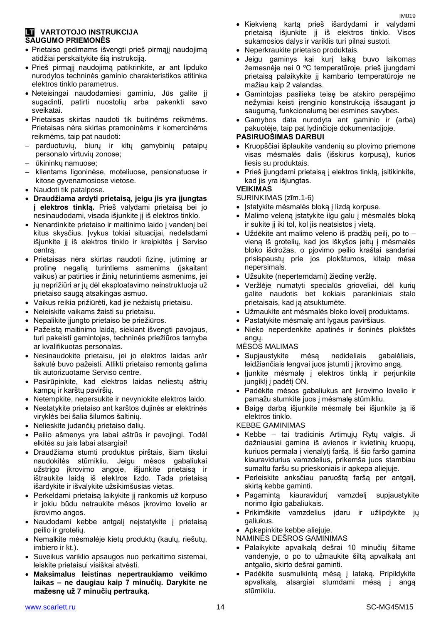# **LT VARTOTOJO INSTRUKCIJA SAUGUMO PRIEMONĖS**

- Prietaiso gedimams išvengti prieš pirmaji naudojima atidžiai perskaitykite šią instrukciją.
- Prieš pirmąjį naudojimą patikrinkite, ar ant lipduko nurodytos techninės gaminio charakteristikos atitinka elektros tinklo parametrus.
- Neteisingai naudodamiesi gaminiu, Jūs galite jį sugadinti, patirti nuostolių arba pakenkti savo sveikatai.
- Prietaisas skirtas naudoti tik buitinėms reikmėms. Prietaisas nėra skirtas pramoninėms ir komercinėms reikmėms, taip pat naudoti:
- parduotuvių, biurų ir kitų gamybinių patalpų personalo virtuvių zonose;
- ūkininkų namuose;
- klientams ligoninėse, moteliuose, pensionatuose ir kitose gyvenamosiose vietose.
- Naudoti tik patalpose.
- **Draudžiama ardyti prietaisą, jeigu jis yra įjungtas į elektros tinklą.** Prieš valydami prietaisą bei jo nesinaudodami, visada išjunkite jį iš elektros tinklo.
- Nenardinkite prietaiso ir maitinimo laido į vandenį bei kitus skysčius. Įvykus tokiai situacijai, nedelsdami išjunkite jį iš elektros tinklo ir kreipkitės į Serviso centrą.
- Prietaisas nėra skirtas naudoti fizinę, jutiminę ar protinę negalią turintiems asmenims (įskaitant vaikus) ar patirties ir žinių neturintiems asmenims, jei jų neprižiūri ar jų dėl eksploatavimo neinstruktuoja už prietaiso saugą atsakingas asmuo.
- Vaikus reikia prižiūrėti, kad jie nežaistų prietaisu.
- Neleiskite vaikams žaisti su prietaisu.
- Nepalikite įjungto prietaiso be priežiūros.
- Pažeistą maitinimo laidą, siekiant išvengti pavojaus, turi pakeisti gamintojas, techninės priežiūros tarnyba ar kvalifikuotas personalas.
- Nesinaudokite prietaisu, jei jo elektros laidas ar/ir šakutė buvo pažeisti. Atlikti prietaiso remontą galima tik autorizuotame Serviso centre.
- Pasirūpinkite, kad elektros laidas neliestų aštrių kampų ir karštų paviršių.
- Netempkite, nepersukite ir nevyniokite elektros laido.
- Nestatykite prietaiso ant karštos dujinės ar elektrinės viryklės bei šalia šilumos šaltinių.
- Nelieskite judančių prietaiso dalių.
- Peilio ašmenys yra labai aštrūs ir pavojingi. Todėl elkitės su jais labai atsargiai!
- Draudžiama stumti produktus pirštais, šiam tikslui naudokitės stūmikliu. Jeigu mėsos gabaliukai užstrigo įkrovimo angoje, išjunkite prietaisą ir ištraukite laidą iš elektros lizdo. Tada prietaisą išardykite ir išvalykite užsikimšusias vietas.
- Perkeldami prietaisą laikykite jį rankomis už korpuso ir jokiu būdu netraukite mėsos įkrovimo lovelio ar įkrovimo angos.
- Naudodami kebbe antgalį neįstatykite į prietaisą peilio ir grotelių.
- Nemalkite mėsmalėje kietų produktų (kaulų, riešutų, imbiero ir kt.).
- Suveikus variklio apsaugos nuo perkaitimo sistemai, leiskite prietaisui visiškai atvėsti.
- **Maksimalus leistinas nepertraukiamo veikimo laikas – ne daugiau kaip 7 minučių. Darykite ne mažesnę už 7 minučių pertrauką.**
- Kiekvieną kartą prieš išardydami ir valydami prietaisą išjunkite jį iš elektros tinklo. Visos sukamosios dalys ir variklis turi pilnai sustoti.
- Neperkraukite prietaiso produktais.
- Jeigu gaminys kai kurį laiką buvo laikomas žemesnėje nei 0 ºC temperatūroje, prieš įjungdami prietaisą palaikykite jį kambario temperatūroje ne mažiau kaip 2 valandas.
- Gamintojas pasilieka teisę be atskiro perspėjimo nežymiai keisti įrenginio konstrukciją išsaugant jo saugumą, funkcionalumą bei esmines savybes.
- Gamybos data nurodyta ant gaminio ir (arba) pakuotėje, taip pat lydinčioje dokumentacijoje.

# **PASIRUOŠIMAS DARBUI**

- Kruopščiai išplaukite vandenių su plovimo priemone visas mėsmalės dalis (išskirus korpusą), kurios liesis su produktais.
- Prieš įjungdami prietaisą į elektros tinklą, įsitikinkite, kad jis yra išjungtas.

# **VEIKIMAS**

SURINKIMAS (zīm.1-6)

- Įstatykite mėsmalės bloką į lizdą korpuse.
- Malimo veleną įstatykite ilgu galu į mėsmalės bloką ir sukite jį iki tol, kol jis neatsistos į vietą.
- Uždėkite ant malimo veleno iš pradžių peilį, po to vieną iš grotelių, kad jos iškyšos įeitų į mėsmalės bloko išdrožas, o pjovimo peilio kraštai sandariai prisispaustų prie jos plokštumos, kitaip mėsa nepersimals.
- Užsukite (nepertemdami) žiedinę veržlę.
- Veržlėje numatyti specialūs grioveliai, dėl kurių galite naudotis bet kokiais parankiniais stalo prietaisais, kad ją atsuktumėte.
- Užmaukite ant mėsmalės bloko lovelį produktams.
- Pastatykite mėsmalę ant lygaus paviršiaus.
- Nieko neperdenkite apatinės ir šoninės plokštės angų.

MĖSOS MALIMAS

- Supjaustykite mėsą nedideliais gabalėliais, leidžiančiais lengvai juos įstumti į įkrovimo angą.
- Įjunkite mėsmalę į elektros tinklą ir perjunkite jungiklį į padėtį ON.
- Padėkite mėsos gabaliukus ant įkrovimo lovelio ir pamažu stumkite juos į mėsmalę stūmikliu.
- Baigę darbą išjunkite mėsmalę bei išjunkite ją iš elektros tinklo.

KEBBE GAMINIMAS

- Kebbe tai tradicinis Artimųjų Rytų valgis. Ji dažniausiai gamina iš avienos ir kvietinių kruopų, kuriuos permala į vienalytį faršą. Iš šio faršo gamina kiauravidurius vamzdelius, prikemša juos stambiau sumaltu faršu su prieskoniais ir apkepa aliejuje.
- Perleiskite anksčiau paruoštą faršą per antgalį, skirtą kebbe gaminti.
- Pagamintą kiauravidurį vamzdelį supjaustykite norimo ilgio gabaliukais.
- Prikimškite vamzdelius įdaru ir užlipdykite jų galiukus.
- Apkepinkite kebbe aliejuje.

NAMINĖS DEŠROS GAMINIMAS

- Palaikykite apvalkalą dešrai 10 minučių šiltame vandenyje, o po to užmaukite šiltą apvalkalą ant antgalio, skirto dešrai gaminti.
- Padėkite susmulkintą mėsą į lataką. Pripildykite apvalkalą, atsargiai stumdami mėsą į angą stūmikliu.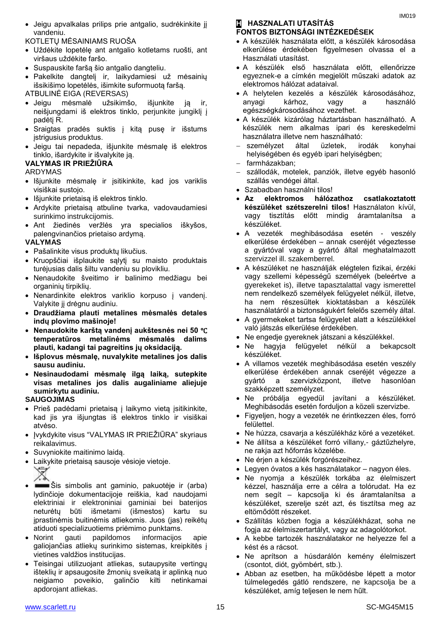KOTLETŲ MĖSAINIAMS RUOŠA

- Uždėkite lopetėlę ant antgalio kotletams ruošti, ant viršaus uždėkite faršo.
- Suspauskite faršą šio antgalio dangteliu.
- Pakelkite dangtelį ir, laikydamiesi už mėsainių išsikišimo lopetėlės, išimkite suformuotą faršą. ATBULINĖ EIGA (REVERSAS)
- Jeigu mėsmalė užsikimšo, išjunkite ją ir, neišjungdami iš elektros tinklo, perjunkite jungiklį į padėtį R.
- Sraigtas pradės suktis į kitą pusę ir išstums įstrigusius produktus.
- Jeigu tai nepadeda, išjunkite mėsmalę iš elektros tinklo, išardykite ir išvalykite ją.

# **VALYMAS IR PRIEŽIŪRA**

# ARDYMAS

- Išjunkite mėsmalę ir įsitikinkite, kad jos variklis visiškai sustojo.
- Išjunkite prietaisą iš elektros tinklo.
- Ardykite prietaisą atbuline tvarka, vadovaudamiesi surinkimo instrukcijomis.
- Ant žiedinės veržlės yra specialios iškyšos, palengvinančios prietaiso ardymą.

# **VALYMAS**

- Pašalinkite visus produktų likučius.
- Kruopščiai išplaukite sąlytį su maisto produktais turėjusias dalis šiltu vandeniu su plovikliu.
- Nenaudokite šveitimo ir balinimo medžiagu bei organinių tirpiklių.
- Nenardinkite elektros variklio korpuso į vandenį. Valykite jį drėgnu audiniu.
- **Draudžiama plauti metalines mėsmalės detales indų plovimo mašinoje!**
- **Nenaudokite karštą vandenį aukštesnės nei 50** ℃ **temperatūros metalinėms mėsmalės dalims plauti, kadangi tai pagreitins jų oksidaciją.**
- **Išplovus mėsmalę, nuvalykite metalines jos dalis sausu audiniu.**
- **Nesinaudodami mėsmalę ilgą laiką, sutepkite visas metalines jos dalis augaliniame aliejuje sumirkytu audiniu.**

# **SAUGOJIMAS**

- Prieš padėdami prietaisą į laikymo vietą įsitikinkite, kad jis yra išjungtas iš elektros tinklo ir visiškai atvėso.
- Įvykdykite visus "VALYMAS IR PRIEŽIŪRA" skyriaus reikalavimus.
- Suvyniokite maitinimo laidą.
- Laikykite prietaisą sausoje vėsioje vietoje.
- Šis simbolis ant gaminio, pakuotėje ir (arba) lydinčioje dokumentacijoje reiškia, kad naudojami elektriniai ir elektroniniai gaminiai bei baterijos neturėtų būti išmetami (išmestos) kartu su įprastinėmis buitinėmis atliekomis. Juos (jas) reikėtų atiduoti specializuotiems priėmimo punktams.
- Norint gauti papildomos informacijos apie galiojančias atliekų surinkimo sistemas, kreipkitės į vietines valdžios institucijas.
- Teisingai utilizuojant atliekas, sutaupysite vertingų išteklių ir apsaugosite žmonių sveikatą ir aplinką nuo neigiamo poveikio, galinčio kilti netinkamai apdorojant atliekas.

# **H HASZNALATI UTASÍTÁS**

# **FONTOS BIZTONSÁGI INTÉZKEDÉSEK**

- A készülék használata előtt, a készülék károsodása elkerülése érdekében figyelmesen olvassa el a Használati utasítást.
- A készülék első használata előtt, ellenőrizze egyeznek-e a címkén megjelölt műszaki adatok az elektromos hálózat adataival.
- A helytelen kezelés a készülék károsodásához, anyagi kárhoz, vagy a használó egészségkárosodásához vezethet.
- A készülék kizárólag háztartásban használható. A készülék nem alkalmas ipari és kereskedelmi használatra illetve nem használható:
- személyzet által üzletek, irodák konyhai helyiségében és egyéb ipari helyiségben;
- farmházakban;
- szállodák, motelek, panziók, illetve egyéb hasonló szállás vendégei által.
- Szabadban használni tilos!
- **Az elektromos hálózathoz csatlakoztatott készüléket szétszerelni tilos!** Használaton kívül, vagy tisztítás előtt mindig áramtalanítsa a készüléket.
- A vezeték meghibásodása esetén veszély elkerülése érdekében – annak cseréjét végeztesse a gyártóval vagy a gyártó által meghatalmazott szervizzel ill. szakemberrel.
- A készüléket ne használják elégtelen fizikai, érzéki vagy szellemi képességű személyek (beleértve a gyerekeket is), illetve tapasztalattal vagy ismerettel nem rendelkező személyek felügyelet nélkül, illetve, ha nem részesültek kioktatásban a készülék használatáról a biztonságukért felelős személy által.
- A gyermekeket tartsa felügyelet alatt a készülékkel való játszás elkerülése érdekében.
- Ne engedje gyereknek játszani a készülékkel.
- Ne hagyja felügyelet nélkül a bekapcsolt készüléket.
- A villamos vezeték meghibásodása esetén veszély elkerülése érdekében annak cseréjét végezze a gyártó a szervizközpont, illetve hasonlóan szakképzett személyzet.
- Ne próbálja egyedül javítani a készüléket. Meghibásodás esetén forduljon a közeli szervizbe.
- Figyeljen, hogy a vezeték ne érintkezzen éles, forró felülettel.
- Ne húzza, csavarja a készülékház köré a vezetéket.
- Ne állítsa a készüléket forró villany,- gáztűzhelyre, ne rakja azt hőforrás közelébe.
- Ne érjen a készülék forgórészeihez.
- Legyen óvatos a kés használatakor nagyon éles.
- Ne nyomja a készülék torkába az élelmiszert kézzel, használja erre a célra a tolórudat. Ha ez nem segít – kapcsolja ki és áramtalanítsa a készüléket, szerelje szét azt, és tisztítsa meg az eltömődött részeket.
- Szállítás közben fogja a készülékházat, soha ne fogja az élelmiszertartályt, vagy az adagolótorkot.
- A kebbe tartozék használatakor ne helyezze fel a kést és a rácsot.
- Ne aprítson a húsdarálón kemény élelmiszert (csontot, diót, gyömbért, stb.).
- Abban az esetben, ha működésbe lépett a motor túlmelegedés gátló rendszere, ne kapcsolja be a készüléket, amíg teljesen le nem hűlt.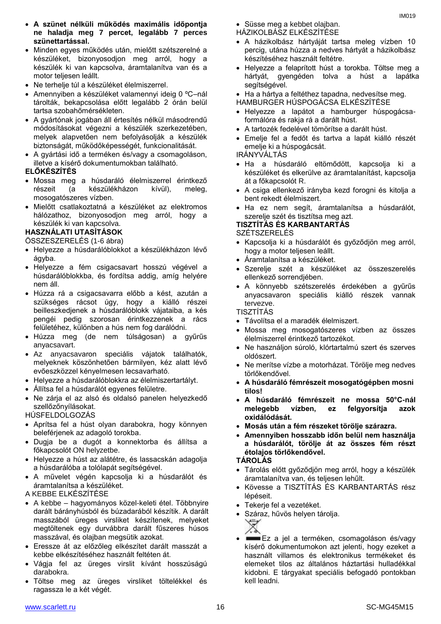- **A szünet nélküli működés maximális időpontja ne haladja meg 7 percet, legalább 7 perces szünettartással.**
- Minden egyes működés után, mielőtt szétszerelné a készüléket, bizonyosodjon meg arról, hogy a készülék ki van kapcsolva, áramtalanítva van és a motor teljesen leállt.
- Ne terhelje túl a készüléket élelmiszerrel.
- Amennyiben a készüléket valamennyi ideig 0 ºC–nál tárolták, bekapcsolása előtt legalább 2 órán belül tartsa szobahőmérsékleten.
- A gyártónak jogában áll értesítés nélkül másodrendű módosításokat végezni a készülék szerkezetében, melyek alapvetően nem befolyásolják a készülék biztonságát, működőképességét, funkcionalitását.
- A gyártási idő a terméken és/vagy a csomagoláson, illetve a kísérő dokumentumokban található.

# **ELŐKÉSZÍTÉS**

- Mossa meg a húsdaráló élelmiszerrel érintkező részeit (a készülékházon kívül), meleg, mosogatószeres vízben.
- Mielőtt csatlakoztatná a készüléket az elektromos hálózathoz, bizonyosodjon meg arról, hogy a készülék ki van kapcsolva.

# **HASZNÁLATI UTASÍTÁSOK**

ÖSSZESZERELÉS (1-6 ábra)

- Helyezze a húsdarálóblokkot a készülékházon lévő ágyba.
- Helyezze a fém csigacsavart hosszú végével a húsdarálóblokkba, és fordítsa addig, amíg helyére nem áll.
- Húzza rá a csigacsavarra előbb a kést, azután a szükséges rácsot úgy, hogy a kiálló részei beilleszkedjenek a húsdarálóblokk vájataiba, a kés pengéi pedig szorosan érintkezzenek a rács felületéhez, különben a hús nem fog darálódni.
- Húzza meg (de nem túlságosan) a gyűrűs anyacsavart.
- Az anyacsavaron speciális vájatok találhatók, melyeknek köszönhetően bármilyen, kéz alatt lévő evőeszközzel kényelmesen lecsavarható.
- Helyezze a húsdarálóblokkra az élelmiszertartályt.
- Állítsa fel a húsdarálót egyenes felületre.
- Ne zárja el az alsó és oldalsó panelen helyezkedő szellőzőnyílásokat.

# HÚSFELDOLGOZÁS

- Aprítsa fel a húst olyan darabokra, hogy könnyen beleférjenek az adagoló torokba.
- Dugja be a dugót a konnektorba és állítsa a főkapcsolót ON helyzetbe.
- Helyezze a húst az alátétre, és lassacskán adagolja a húsdarálóba a tolólapát segítségével.
- A művelet végén kapcsolja ki a húsdarálót és áramtalanítsa a készüléket.
- A KEBBE ELKÉSZÍTÉSE
- A kebbe hagyományos közel-keleti étel. Többnyire darált bárányhúsból és búzadarából készítik. A darált masszából üreges virsliket készítenek, melyeket megtöltenek egy durvábbra darált fűszeres húsos masszával, és olajban megsütik azokat.
- Eressze át az előzőleg elkészítet darált masszát a kebbe elkészítéséhez használt feltéten át.
- Vágja fel az üreges virslit kívánt hosszúságú darabokra.
- Töltse meg az üreges virsliket töltelékkel és ragassza le a két végét.
- Süsse meg a kebbet olajban.
- HÁZIKOLBÁSZ ELKÉSZÍTÉSE
- A házikolbász hártyáját tartsa meleg vízben 10 percig, utána húzza a nedves hártyát a házikolbász készítéséhez használt feltétre.
- Helyezze a felaprított húst a torokba. Töltse meg a hártyát, gyengéden tolva a húst a lapátka segítségével.
- Ha a hártya a feltéthez tapadna, nedvesítse meg.
- HAMBURGER HÚSPOGÁCSA ELKÉSZÍTÉSE
- Helyezze a lapátot a hamburger húspogácsaformálóra és rakja rá a darált húst.
- A tartozék fedelével tömörítse a darált húst.
- Emelje fel a fedőt és tartva a lapát kiálló részét emelje ki a húspogácsát.

# IRÁNYVÁLTÁS

- Ha a húsdaráló eltömődött, kapcsolja ki a készüléket és elkerülve az áramtalanítást, kapcsolja át a főkapcsolót R.
- A csiga ellenkező irányba kezd forogni és kitolja a bent rekedt élelmiszert.
- Ha ez nem segít, áramtalanítsa a húsdarálót, szerelje szét és tisztítsa meg azt.

#### **TISZTÍTÁS ÉS KARBANTARTÁS** SZÉTSZERELÉS

- Kapcsolja ki a húsdarálót és győződjön meg arról, hogy a motor teljesen leállt.
- Áramtalanítsa a készüléket.
- Szerelje szét a készüléket az összeszerelés ellenkező sorrendjében.
- A könnyebb szétszerelés érdekében a gyűrűs anyacsavaron speciális kiálló részek vannak tervezve.

TISZTÍTÁS

- Távolítsa el a maradék élelmiszert.
- Mossa meg mosogatószeres vízben az összes élelmiszerrel érintkező tartozékot.
- Ne használjon súroló, klórtartalmú szert és szerves oldószert.
- Ne merítse vízbe a motorházat. Törölje meg nedves törlőkendővel.
- **A húsdaráló fémrészeit mosogatógépben mosni tilos!**
- **A húsdaráló fémrészeit ne mossa 50°C-nál melegebb vízben, ez felgyorsítja azok oxidálódását.**
- **Mosás után a fém részeket törölje szárazra.**
- **Amennyiben hosszabb időn belül nem használja a húsdarálót, törölje át az összes fém részt étolajos törlőkendővel.**

- Tárolás előtt győződjön meg arról, hogy a készülék áramtalanítva van, és teljesen lehűlt.
- Kövesse a TISZTÍTÁS ÉS KARBANTARTÁS rész lépéseit.
- Tekerje fel a vezetéket.
- Száraz, hűvös helyen tárolja.
- 
- **EX** a jel a terméken, csomagoláson és/vagy kísérő dokumentumokon azt jelenti, hogy ezeket a használt villamos és elektronikus termékeket és elemeket tilos az általános háztartási hulladékkal kidobni. E tárgyakat speciális befogadó pontokban kell leadni.

**TÁROLÁS**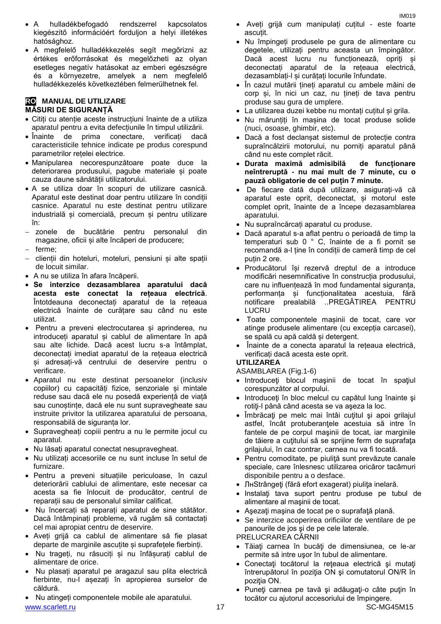- A hulladékbefogadó rendszerrel kapcsolatos kiegészítő információért forduljon a helyi illetékes hatósághoz.
- A megfelelő hulladékkezelés segít megőrizni az értékes erőforrásokat és megelőzheti az olyan esetleges negatív hatásokat az emberi egészségre és a környezetre, amelyek a nem megfelelő hulladékkezelés következtében felmerülhetnek fel.

# **RO MANUAL DE UTILIZARE MĂSURI DE SIGURANȚĂ**

- Citiți cu atenție aceste instrucțiuni înainte de a utiliza aparatul pentru a evita defecțiunile în timpul utilizării.
- Înainte de prima conectare, verificați dacă caracteristicile tehnice indicate pe produs corespund parametrilor rețelei electrice.
- Manipularea necorespunzătoare poate duce la deteriorarea produsului, pagube materiale și poate cauza daune sănătății utilizatorului.
- A se utiliza doar în scopuri de utilizare casnică. Aparatul este destinat doar pentru utilizare în condiții casnice. Aparatul nu este destinat pentru utilizare industrială și comercială, precum și pentru utilizare în:
- zonele de bucătărie pentru personalul din magazine, oficii și alte încăperi de producere;
- ferme;
- clienții din hoteluri, moteluri, pensiuni și alte spații de locuit similar.
- A nu se utiliza în afara încăperii.
- **Se interzice dezasamblarea aparatului dacă acesta este conectat la rețeaua electrică**. Întotdeauna deconectați aparatul de la rețeaua electrică înainte de curățare sau când nu este utilizat.
- Pentru a preveni electrocutarea și aprinderea, nu introduceți aparatul și cablul de alimentare în apă sau alte lichide. Dacă acest lucru s-a întâmplat, deconectați imediat aparatul de la rețeaua electrică și adresați-vă centrului de deservire pentru o verificare.
- Aparatul nu este destinat persoanelor (inclusiv copiilor) cu capacități fizice, senzoriale și mintale reduse sau dacă ele nu posedă experiență de viață sau cunoștințe, dacă ele nu sunt supravegheate sau instruite privitor la utilizarea aparatului de persoana, responsabilă de siguranța lor.
- Supravegheați copiii pentru a nu le permite jocul cu aparatul.
- Nu lăsați aparatul conectat nesupravegheat.
- Nu utilizați accesoriile ce nu sunt incluse în setul de furnizare.
- Pentru a preveni situațiile periculoase, în cazul deteriorării cablului de alimentare, este necesar ca acesta sa fie înlocuit de producător, centrul de reparații sau de personalul similar calificat.
- Nu încercați să reparați aparatul de sine stătător. Dacă întâmpinați probleme, vă rugăm să contactați cel mai apropiat centru de deservire.
- Aveți grijă ca cablul de alimentare să fie plasat departe de marginile ascuțite și suprafețele fierbinți.
- Nu trageți, nu răsuciți și nu înfășurați cablul de alimentare de orice.
- Nu plasați aparatul pe aragazul sau plita electrică fierbinte, nu-l așezați în apropierea surselor de căldură.
- www.scarlett.ru 17 SC-MG45M15 Nu atingeți componentele mobile ale aparatului.

 Aveți grijă cum manipulați cuțitul - este foarte ascuțit.

IM019

- Nu împingeți produsele pe gura de alimentare cu degetele, utilizați pentru aceasta un împingător. Dacă acest lucru nu funcționează, opriți și deconectați aparatul de la rețeaua electrică, dezasamblați-l și curățați locurile înfundate.
- În cazul mutării țineți aparatul cu ambele mâini de corp și, în nici un caz, nu țineți de tava pentru produse sau gura de umplere.
- La utilizarea duzei kebbe nu montați cuțitul și grila.
- Nu mărunțiți în mașina de tocat produse solide (nuci, osoase, ghimbir, etc).
- Dacă a fost declanșat sistemul de protecție contra supraîncălzirii motorului, nu porniți aparatul până când nu este complet răcit.
- **Durata maximă admisibilă de funcționare neîntreruptă - nu mai mult de 7 minute, cu o pauză obligatorie de cel puțin 7 minute.**
- De fiecare dată după utilizare, asigurați-vă că aparatul este oprit, deconectat, și motorul este complet oprit, înainte de a începe dezasamblarea aparatului.
- Nu supraîncărcați aparatul cu produse.
- Dacă aparatul s-a aflat pentru o perioadă de timp la temperaturi sub 0 ° C, înainte de a fi pornit se recomandă a-l ține în condiții de cameră timp de cel puțin 2 ore.
- Producătorul își rezervă dreptul de a introduce modificări nesemnificative în construcția produsului, care nu influențează în mod fundamental siguranța, performanța și funcționalitatea acestuia, fără notificare prealabilă ..PREGĂTIREA PENTRU LUCRU
- Toate componentele mașinii de tocat, care vor atinge produsele alimentare (cu excepția carcasei), se spală cu apă caldă și detergent.
- Înainte de a conecta aparatul la rețeaua electrică, verificați dacă acesta este oprit.

# **UTILIZAREA**

ASAMBLAREA (Fig.1-6)

- Introduceti blocul masinii de tocat în spatiul corespunzător al corpului.
- Introduceți în bloc melcul cu capătul lung înainte și rotiţi-l până când acesta se va aşeza la loc.
- Îmbrăcaţi pe melc mai întâi cuţitul şi apoi grilajul astfel, încât protuberanțele acestuia să intre în fantele de pe corpul maşinii de tocat, iar marginile de tăiere a cuţitului să se sprijine ferm de suprafaţa grilajului, în caz contrar, carnea nu va fi tocată.
- Pentru comoditate, pe piuliţă sunt prevăzute canale speciale, care înlesnesc utilizarea oricăror tacâmuri disponibile pentru a o desface.
- ЛнStrângeţi (fără efort exagerat) piuliţa inelară.
- Instalaţi tava suport pentru produse pe tubul de alimentare al maşinii de tocat.
- Aşezaţi maşina de tocat pe o suprafaţă plană.
- Se interzice acoperirea orificiilor de ventilare de pe panourile de jos şi de pe cele laterale. PRELUCRAREA CĂRNII
- Tăiaţi carnea în bucăţi de dimensiunea, ce le-ar permite să intre uşor în tubul de alimentare.
- Conectati tocătorul la rețeaua electrică și mutați întrerupătorul în poziția ON și comutatorul ON/R în poziţia ON.
- Puneţi carnea pe tavă şi adăugaţi-o câte puţin în tocător cu ajutorul accesoriului de împingere.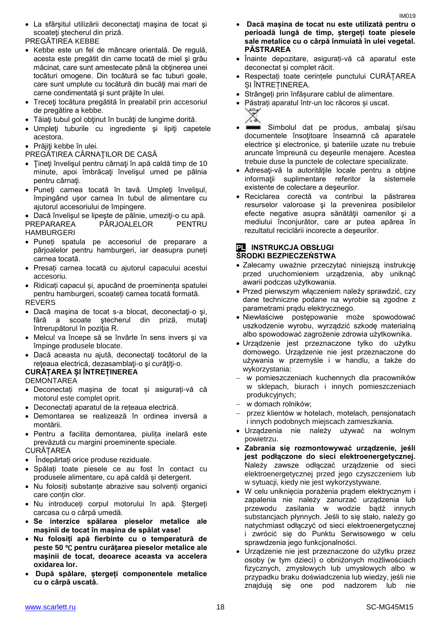La sfârşitul utilizării deconectaţi maşina de tocat şi scoateţi ştecherul din priză.

PREGĂTIREA KEBBE

- Kebbe este un fel de mâncare orientală. De regulă, acesta este pregătit din carne tocată de miel şi grâu măcinat, care sunt amestecate până la obţinerea unei tocături omogene. Din tocătură se fac tuburi goale, care sunt umplute cu tocătură din bucăți mai mari de carne condimentată şi sunt prăjite în ulei.
- Treceti tocătura pregătită în prealabil prin accesoriul de pregătire a kebbe.
- Tăiaţi tubul gol obţinut în bucăţi de lungime dorită.
- Umpleti tuburile cu ingrediente și lipiti capetele acestora.

• Prăiiti kebbe în ulei.

- PREGĂTIREA CÂRNAŢILOR DE CASĂ
- Ţineţi învelişul pentru cârnaţi în apă caldă timp de 10 minute, apoi îmbrăcaţi învelişul umed pe pâlnia pentru cârnaţi.
- Puneţi carnea tocată în tavă. Umpleţi învelişul, împingând uşor carnea în tubul de alimentare cu ajutorul accesoriului de împingere.

 Dacă învelişul se lipeşte de pâlnie, umeziţi-o cu apă. PREPARAREA PÂRJOALELOR PENTRU HAMBURGERI

- Puneți spatula pe accesoriul de preparare a pârjoalelor pentru hamburgeri, iar deasupra puneți carnea tocată.
- Presați carnea tocată cu ajutorul capacului acestui accesoriu.
- Ridicați capacul și, apucând de proeminența spatulei pentru hamburgeri, scoateți carnea tocată formată. REVERS
- Dacă maşina de tocat s-a blocat, deconectaţi-o şi, fără a scoate ştecherul din priză, mutaţi întrerupătorul în poziţia R.
- Melcul va începe să se învârte în sens invers şi va împinge produsele blocate.
- Dacă aceasta nu ajută, deconectaţi tocătorul de la rețeaua electrică, dezasamblați-o și curățiți-o.

# **CURĂȚAREA ȘI ÎNTREȚINEREA**

**DEMONTAREA** 

- Deconectați mașina de tocat și asigurați-vă că motorul este complet oprit.
- Deconectați aparatul de la rețeaua electrică.
- Demontarea se realizează în ordinea inversă a montării.
- Pentru a facilita demontarea, piulița inelară este prevăzută cu margini proeminente speciale. CURĂȚAREA
- Îndepărtați orice produse reziduale.
- Spălați toate piesele ce au fost în contact cu produsele alimentare, cu apă caldă și detergent.
- Nu folosiți substanțe abrazive sau solvenți organici care contin clor.
- Nu introduceți corpul motorului în apă. Ștergeți carcasa cu o cârpă umedă.
- **Se interzice spălarea pieselor metalice ale mașinii de tocat în mașina de spălat vase!**
- **Nu folosiți apă fierbinte cu o temperatură de peste 50** ℃ **pentru curățarea pieselor metalice ale mașinii de tocat, deoarece aceasta va accelera oxidarea lor.**
- **După spălare, ștergeți componentele metalice cu o cârpă uscată.**
- **Dacă mașina de tocat nu este utilizată pentru o perioadă lungă de timp, ștergeți toate piesele sale metalice cu o cârpă înmuiată în ulei vegetal. PĂSTRAREA**
- Înainte depozitare, asigurați-vă că aparatul este deconectat și complet răcit.
- Respectați toate cerințele punctului CURĂȚAREA ȘI ÎNTREȚINEREA.
- Strângeți prin înfășurare cablul de alimentare.
- Păstrați aparatul într-un loc răcoros și uscat.
- 
- Simbolul dat pe produs, ambalaj şi/sau documentele însoţitoare înseamnă că aparatele electrice şi electronice, şi bateriile uzate nu trebuie aruncate împreună cu deşeurile menajere. Acestea trebuie duse la punctele de colectare specializate.
- Adresaţi-vă la autorităţile locale pentru a obţine informaţii suplimentare referitor la sistemele existente de colectare a deşeurilor.
- Reciclarea corectă va contribui la păstrarea resurselor valoroase şi la prevenirea posibilelor efecte negative asupra sănătății oamenilor și a mediului înconjurător, care ar putea apărea în rezultatul reciclării incorecte a deşeurilor.

# **PL INSTRUKCJA OBSŁUGI ŚRODKI BEZPIECZEŃSTWA**

- Zalecamy uważnie przeczytać niniejszą instrukcję przed uruchomieniem urządzenia, aby uniknąć awarii podczas użytkowania.
- Przed pierwszym włączeniem należy sprawdzić, czy dane techniczne podane na wyrobie są zgodne z parametrami prądu elektrycznego.
- Niewłaściwe postępowanie może spowodować uszkodzenie wyrobu, wyrządzić szkodę materialną albo spowodować zagrożenie zdrowia użytkownika.
- Urządzenie jest przeznaczone tylko do użytku domowego. Urządzenie nie jest przeznaczone do używania w przemyśle i w handlu, a także do wykorzystania:
- w pomieszczeniach kuchennych dla pracowników w sklepach, biurach i innych pomieszczeniach produkcyjnych;
- w domach rolników;
- przez klientów w hotelach, motelach, pensjonatach i innych podobnych miejscach zamieszkania.
- Urządzenia nie należy używać na wolnym powietrzu.
- **Zabrania się rozmontowywać urządzenie, jeśli jest podłączone do sieci elektroenergetycznej.**  Należy zawsze odłączać urządzenie od sieci elektroenergetycznej przed jego czyszczeniem lub w sytuacji, kiedy nie jest wykorzystywane.
- W celu uniknięcia porażenia prądem elektrycznym i zapalenia nie należy zanurzać urządzenia lub przewodu zasilania w wodzie bądź innych substancjach płynnych. Jeśli to się stało, należy go natychmiast odłączyć od sieci elektroenergetycznej i zwrócić się do Punktu Serwisowego w celu sprawdzenia jego funkcjonalności.
- Urządzenie nie jest przeznaczone do użytku przez osoby (w tym dzieci) o obniżonych możliwościach fizycznych, zmysłowych lub umysłowych albo w przypadku braku doświadczenia lub wiedzy, jeśli nie znajdują się one pod nadzorem lub nie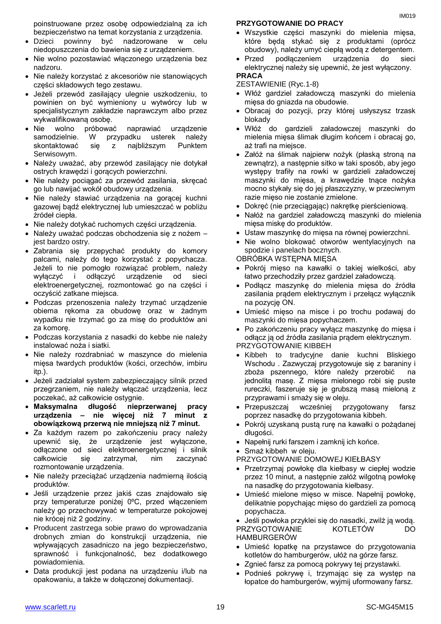poinstruowane przez osobę odpowiedzialną za ich bezpieczeństwo na temat korzystania z urządzenia.

- Dzieci powinny być nadzorowane w celu niedopuszczenia do bawienia się z urządzeniem.
- Nie wolno pozostawiać włączonego urządzenia bez nadzoru.
- Nie należy korzystać z akcesoriów nie stanowiących części składowych tego zestawu.
- Jeżeli przewód zasilający ulegnie uszkodzeniu, to powinien on być wymieniony u wytwórcy lub w specjalistycznym zakładzie naprawczym albo przez wykwalifikowaną osobę.
- Nie wolno próbować naprawiać urządzenie samodzielnie. W przypadku usterek należy skontaktować się z najbliższym Punktem Serwisowym.
- Należy uważać, aby przewód zasilający nie dotykał ostrych krawędzi i gorących powierzchni.
- Nie należy pociągać za przewód zasilania, skręcać go lub nawijać wokół obudowy urządzenia.
- Nie należy stawiać urządzenia na gorącej kuchni gazowej bądź elektrycznej lub umieszczać w pobliżu źródeł ciepła.
- Nie należy dotykać ruchomych części urządzenia.
- Należy uważać podczas obchodzenia się z nożem jest bardzo ostry.
- Zabrania się przepychać produkty do komory palcami, należy do tego korzystać z popychacza. Jeżeli to nie pomogło rozwiązać problem, należy wyłączyć i odłączyć urządzenie od sieci elektroenergetycznej, rozmontować go na części i oczyścić zatkane miejsca.
- Podczas przenoszenia należy trzymać urządzenie obiema rękoma za obudowę oraz w żadnym wypadku nie trzymać go za misę do produktów ani za komorę.
- Podczas korzystania z nasadki do kebbe nie należy instalować noża i siatki.
- Nie należy rozdrabniać w maszynce do mielenia mięsa twardych produktów (kości, orzechów, imbiru itp.).
- Jeżeli zadziałał system zabezpieczający silnik przed przegrzaniem, nie należy włączać urządzenia, lecz poczekać, aż całkowicie ostygnie.
- **Maksymalna długość nieprzerwanej pracy urządzenia – nie więcej niż 7 minut z obowiązkową przerwą nie mniejszą niż 7 minut.**
- Za każdym razem po zakończeniu pracy należy upewnić się, że urządzenie jest wyłączone, odłączone od sieci elektroenergetycznej i silnik całkowicie się zatrzymał, nim zaczynać rozmontowanie urządzenia.
- Nie należy przeciążać urządzenia nadmierną ilością produktów.
- Jeśli urządzenie przez jakiś czas znajdowało się przy temperaturze poniżej 0ºC, przed włączeniem należy go przechowywać w temperaturze pokojowej nie krócej niż 2 godziny.
- Producent zastrzega sobie prawo do wprowadzania drobnych zmian do konstrukcji urządzenia, nie wpływających zasadniczo na jego bezpieczeństwo, sprawność i funkcjonalność, bez dodatkowego powiadomienia.
- Data produkcji jest podana na urządzeniu i/lub na opakowaniu, a także w dołączonej dokumentacji.

# **PRZYGOTOWANIE DO PRACY**

- Wszystkie części maszynki do mielenia mięsa, które będą stykać się z produktami (oprócz obudowy), należy umyć ciepłą wodą z detergentem.
- Przed podłączeniem urządzenia do sieci elektrycznej należy się upewnić, że jest wyłączony. **PRACA**

ZESTAWIENIE (Ryc.1-8)

- Włóż gardziel załadowczą maszynki do mielenia mięsa do gniazda na obudowie.
- Obracaj do pozycji, przy której usłyszysz trzask blokady
- Włóż do gardzieli załadowczej maszynki do mielenia mięsa ślimak długim końcem i obracaj go, aż trafi na miejsce.
- Załóż na ślimak najpierw nożyk (płaską stroną na zewnątrz), a następnie sitko w taki sposób, aby jego występy trafiły na rowki w gardzieli załadowczej maszynki do mięsa, a krawędzie tnące nożyka mocno stykały się do jej płaszczyzny, w przeciwnym razie mięso nie zostanie zmielone.
- Dokręć (nie przeciągając) nakrętkę pierścieniową.
- Nałóż na gardziel załadowczą maszynki do mielenia mięsa miskę do produktów.
- Ustaw maszynkę do mięsa na równej powierzchni.
- Nie wolno blokować otworów wentylacyjnych na spodzie i panelach bocznych.

OBRÓBKA WSTĘPNA MIĘSA

- Pokrój mięso na kawałki o takiej wielkości, aby łatwo przechodziły przez gardziel załadowczą.
- Podłącz maszynkę do mielenia mięsa do źródła zasilania prądem elektrycznym i przełącz wyłącznik na pozycję ON.
- Umieść mięso na misce i po trochu podawaj do maszynki do mięsa popychaczem.
- Po zakończeniu pracy wyłącz maszynkę do mięsa i odłącz ją od źródła zasilania prądem elektrycznym.

PRZYGOTOWANIE KIBBEH

- Kibbeh to tradycyjne danie kuchni Bliskiego Wschodu . Zazwyczaj przygotowuje się z baraniny i zboża pszennego, które należy przerobić na jednolitą masę. Z mięsa mielonego robi się puste rureczki, faszeruje się je grubszą masą mieloną z przyprawami i smaży się w oleju.
- Przepuszczaj wcześniej przygotowany farsz poprzez nasadkę do przygotowania kibbeh.
- Pokrój uzyskaną pustą rurę na kawałki o pożądanej długości.
- Napełnij rurki farszem i zamknij ich końce.
- Smaż kibbeh w oleju.

PRZYGOTOWANIE DOMOWEJ KIEŁBASY

- Przetrzymaj powłokę dla kiełbasy w ciepłej wodzie przez 10 minut, a następnie załóż wilgotną powłokę na nasadkę do przygotowania kiełbasy.
- Umieść mielone mięso w misce. Napełnij powłokę, delikatnie popychając mięso do gardzieli za pomocą popychacza.

 Jeśli powłoka przyklei się do nasadki, zwilż ją wodą. PRZYGOTOWANIE KOTLETÓW DO HAMBURGERÓW

- Umieść łopatkę na przystawce do przygotowania kotletów do hamburgerów, ułóż na górze farsz.
- Zgnieć farsz za pomocą pokrywy tej przystawki.
- Podnieś pokrywę i, trzymając się za występ na łopatce do hamburgerów, wyjmij uformowany farsz.